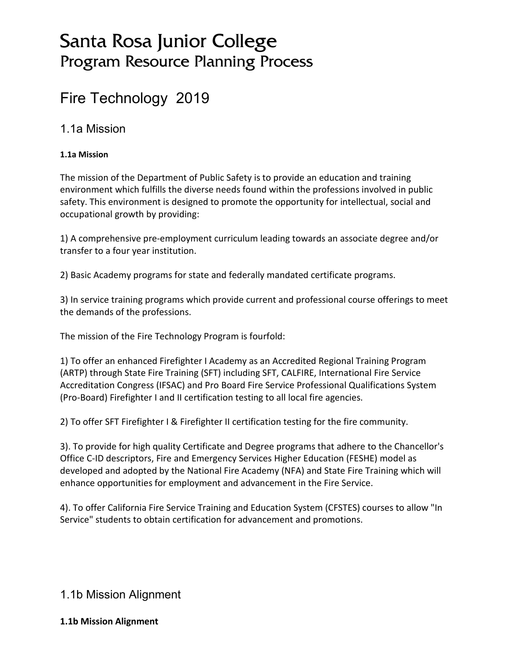# Santa Rosa Junior College Program Resource Planning Process

# Fire Technology 2019

### 1.1a Mission

### **1.1a Mission**

The mission of the Department of Public Safety is to provide an education and training environment which fulfills the diverse needs found within the professions involved in public safety. This environment is designed to promote the opportunity for intellectual, social and occupational growth by providing:

1) A comprehensive pre-employment curriculum leading towards an associate degree and/or transfer to a four year institution.

2) Basic Academy programs for state and federally mandated certificate programs.

3) In service training programs which provide current and professional course offerings to meet the demands of the professions.

The mission of the Fire Technology Program is fourfold:

1) To offer an enhanced Firefighter I Academy as an Accredited Regional Training Program (ARTP) through State Fire Training (SFT) including SFT, CALFIRE, International Fire Service Accreditation Congress (IFSAC) and Pro Board Fire Service Professional Qualifications System (Pro-Board) Firefighter I and II certification testing to all local fire agencies.

2) To offer SFT Firefighter I & Firefighter II certification testing for the fire community.

3). To provide for high quality Certificate and Degree programs that adhere to the Chancellor's Office C-ID descriptors, Fire and Emergency Services Higher Education (FESHE) model as developed and adopted by the National Fire Academy (NFA) and State Fire Training which will enhance opportunities for employment and advancement in the Fire Service.

4). To offer California Fire Service Training and Education System (CFSTES) courses to allow "In Service" students to obtain certification for advancement and promotions.

### 1.1b Mission Alignment

#### **1.1b Mission Alignment**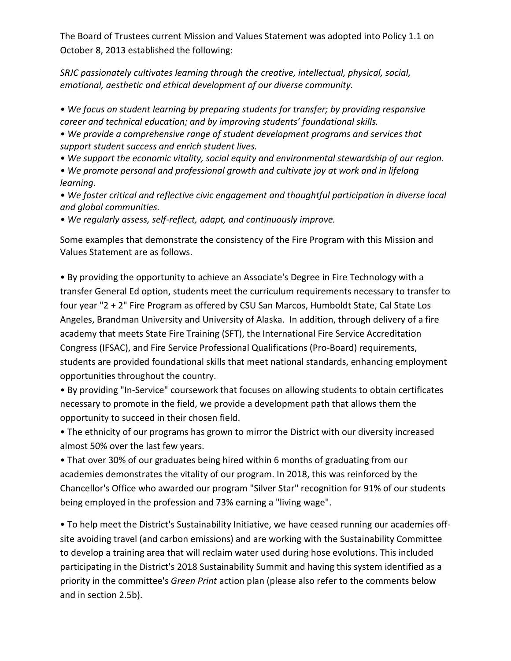The Board of Trustees current Mission and Values Statement was adopted into Policy 1.1 on October 8, 2013 established the following:

*SRJC passionately cultivates learning through the creative, intellectual, physical, social, emotional, aesthetic and ethical development of our diverse community.*

*• We focus on student learning by preparing students for transfer; by providing responsive career and technical education; and by improving students' foundational skills.* 

*• We provide a comprehensive range of student development programs and services that support student success and enrich student lives.* 

*• We support the economic vitality, social equity and environmental stewardship of our region.* 

*• We promote personal and professional growth and cultivate joy at work and in lifelong learning.* 

*• We foster critical and reflective civic engagement and thoughtful participation in diverse local and global communities.* 

*• We regularly assess, self-reflect, adapt, and continuously improve.* 

Some examples that demonstrate the consistency of the Fire Program with this Mission and Values Statement are as follows.

• By providing the opportunity to achieve an Associate's Degree in Fire Technology with a transfer General Ed option, students meet the curriculum requirements necessary to transfer to four year "2 + 2" Fire Program as offered by CSU San Marcos, Humboldt State, Cal State Los Angeles, Brandman University and University of Alaska. In addition, through delivery of a fire academy that meets State Fire Training (SFT), the International Fire Service Accreditation Congress (IFSAC), and Fire Service Professional Qualifications (Pro-Board) requirements, students are provided foundational skills that meet national standards, enhancing employment opportunities throughout the country.

• By providing "In-Service" coursework that focuses on allowing students to obtain certificates necessary to promote in the field, we provide a development path that allows them the opportunity to succeed in their chosen field.

• The ethnicity of our programs has grown to mirror the District with our diversity increased almost 50% over the last few years.

• That over 30% of our graduates being hired within 6 months of graduating from our academies demonstrates the vitality of our program. In 2018, this was reinforced by the Chancellor's Office who awarded our program "Silver Star" recognition for 91% of our students being employed in the profession and 73% earning a "living wage".

• To help meet the District's Sustainability Initiative, we have ceased running our academies offsite avoiding travel (and carbon emissions) and are working with the Sustainability Committee to develop a training area that will reclaim water used during hose evolutions. This included participating in the District's 2018 Sustainability Summit and having this system identified as a priority in the committee's *Green Print* action plan (please also refer to the comments below and in section 2.5b).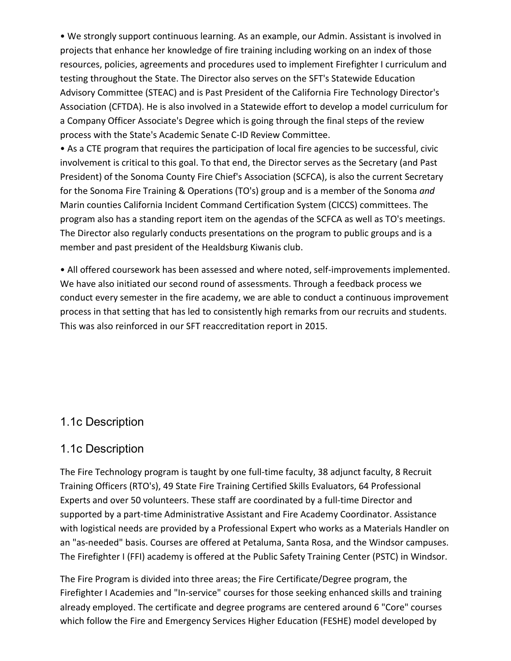• We strongly support continuous learning. As an example, our Admin. Assistant is involved in projects that enhance her knowledge of fire training including working on an index of those resources, policies, agreements and procedures used to implement Firefighter I curriculum and testing throughout the State. The Director also serves on the SFT's Statewide Education Advisory Committee (STEAC) and is Past President of the California Fire Technology Director's Association (CFTDA). He is also involved in a Statewide effort to develop a model curriculum for a Company Officer Associate's Degree which is going through the final steps of the review process with the State's Academic Senate C-ID Review Committee.

• As a CTE program that requires the participation of local fire agencies to be successful, civic involvement is critical to this goal. To that end, the Director serves as the Secretary (and Past President) of the Sonoma County Fire Chief's Association (SCFCA), is also the current Secretary for the Sonoma Fire Training & Operations (TO's) group and is a member of the Sonoma *and*  Marin counties California Incident Command Certification System (CICCS) committees. The program also has a standing report item on the agendas of the SCFCA as well as TO's meetings. The Director also regularly conducts presentations on the program to public groups and is a member and past president of the Healdsburg Kiwanis club.

• All offered coursework has been assessed and where noted, self-improvements implemented. We have also initiated our second round of assessments. Through a feedback process we conduct every semester in the fire academy, we are able to conduct a continuous improvement process in that setting that has led to consistently high remarks from our recruits and students. This was also reinforced in our SFT reaccreditation report in 2015.

### 1.1c Description

### 1.1c Description

The Fire Technology program is taught by one full-time faculty, 38 adjunct faculty, 8 Recruit Training Officers (RTO's), 49 State Fire Training Certified Skills Evaluators, 64 Professional Experts and over 50 volunteers. These staff are coordinated by a full-time Director and supported by a part-time Administrative Assistant and Fire Academy Coordinator. Assistance with logistical needs are provided by a Professional Expert who works as a Materials Handler on an "as-needed" basis. Courses are offered at Petaluma, Santa Rosa, and the Windsor campuses. The Firefighter I (FFI) academy is offered at the Public Safety Training Center (PSTC) in Windsor.

The Fire Program is divided into three areas; the Fire Certificate/Degree program, the Firefighter I Academies and "In-service" courses for those seeking enhanced skills and training already employed. The certificate and degree programs are centered around 6 "Core" courses which follow the Fire and Emergency Services Higher Education (FESHE) model developed by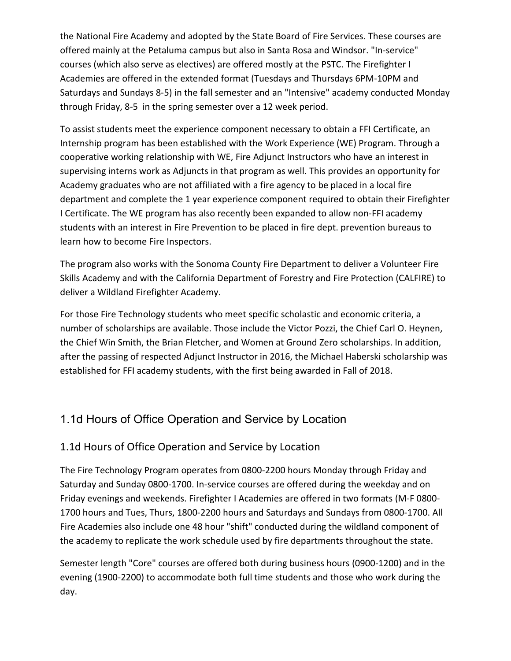the National Fire Academy and adopted by the State Board of Fire Services. These courses are offered mainly at the Petaluma campus but also in Santa Rosa and Windsor. "In-service" courses (which also serve as electives) are offered mostly at the PSTC. The Firefighter I Academies are offered in the extended format (Tuesdays and Thursdays 6PM-10PM and Saturdays and Sundays 8-5) in the fall semester and an "Intensive" academy conducted Monday through Friday, 8-5 in the spring semester over a 12 week period.

To assist students meet the experience component necessary to obtain a FFI Certificate, an Internship program has been established with the Work Experience (WE) Program. Through a cooperative working relationship with WE, Fire Adjunct Instructors who have an interest in supervising interns work as Adjuncts in that program as well. This provides an opportunity for Academy graduates who are not affiliated with a fire agency to be placed in a local fire department and complete the 1 year experience component required to obtain their Firefighter I Certificate. The WE program has also recently been expanded to allow non-FFI academy students with an interest in Fire Prevention to be placed in fire dept. prevention bureaus to learn how to become Fire Inspectors.

The program also works with the Sonoma County Fire Department to deliver a Volunteer Fire Skills Academy and with the California Department of Forestry and Fire Protection (CALFIRE) to deliver a Wildland Firefighter Academy.

For those Fire Technology students who meet specific scholastic and economic criteria, a number of scholarships are available. Those include the Victor Pozzi, the Chief Carl O. Heynen, the Chief Win Smith, the Brian Fletcher, and Women at Ground Zero scholarships. In addition, after the passing of respected Adjunct Instructor in 2016, the Michael Haberski scholarship was established for FFI academy students, with the first being awarded in Fall of 2018.

## 1.1d Hours of Office Operation and Service by Location

### 1.1d Hours of Office Operation and Service by Location

The Fire Technology Program operates from 0800-2200 hours Monday through Friday and Saturday and Sunday 0800-1700. In-service courses are offered during the weekday and on Friday evenings and weekends. Firefighter I Academies are offered in two formats (M-F 0800- 1700 hours and Tues, Thurs, 1800-2200 hours and Saturdays and Sundays from 0800-1700. All Fire Academies also include one 48 hour "shift" conducted during the wildland component of the academy to replicate the work schedule used by fire departments throughout the state.

Semester length "Core" courses are offered both during business hours (0900-1200) and in the evening (1900-2200) to accommodate both full time students and those who work during the day.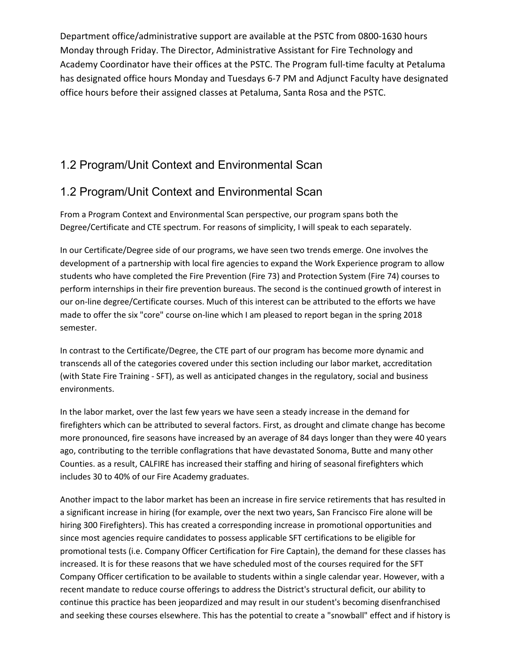Department office/administrative support are available at the PSTC from 0800-1630 hours Monday through Friday. The Director, Administrative Assistant for Fire Technology and Academy Coordinator have their offices at the PSTC. The Program full-time faculty at Petaluma has designated office hours Monday and Tuesdays 6-7 PM and Adjunct Faculty have designated office hours before their assigned classes at Petaluma, Santa Rosa and the PSTC.

## 1.2 Program/Unit Context and Environmental Scan

## 1.2 Program/Unit Context and Environmental Scan

From a Program Context and Environmental Scan perspective, our program spans both the Degree/Certificate and CTE spectrum. For reasons of simplicity, I will speak to each separately.

In our Certificate/Degree side of our programs, we have seen two trends emerge. One involves the development of a partnership with local fire agencies to expand the Work Experience program to allow students who have completed the Fire Prevention (Fire 73) and Protection System (Fire 74) courses to perform internships in their fire prevention bureaus. The second is the continued growth of interest in our on-line degree/Certificate courses. Much of this interest can be attributed to the efforts we have made to offer the six "core" course on-line which I am pleased to report began in the spring 2018 semester.

In contrast to the Certificate/Degree, the CTE part of our program has become more dynamic and transcends all of the categories covered under this section including our labor market, accreditation (with State Fire Training - SFT), as well as anticipated changes in the regulatory, social and business environments.

In the labor market, over the last few years we have seen a steady increase in the demand for firefighters which can be attributed to several factors. First, as drought and climate change has become more pronounced, fire seasons have increased by an average of 84 days longer than they were 40 years ago, contributing to the terrible conflagrations that have devastated Sonoma, Butte and many other Counties. as a result, CALFIRE has increased their staffing and hiring of seasonal firefighters which includes 30 to 40% of our Fire Academy graduates.

Another impact to the labor market has been an increase in fire service retirements that has resulted in a significant increase in hiring (for example, over the next two years, San Francisco Fire alone will be hiring 300 Firefighters). This has created a corresponding increase in promotional opportunities and since most agencies require candidates to possess applicable SFT certifications to be eligible for promotional tests (i.e. Company Officer Certification for Fire Captain), the demand for these classes has increased. It is for these reasons that we have scheduled most of the courses required for the SFT Company Officer certification to be available to students within a single calendar year. However, with a recent mandate to reduce course offerings to address the District's structural deficit, our ability to continue this practice has been jeopardized and may result in our student's becoming disenfranchised and seeking these courses elsewhere. This has the potential to create a "snowball" effect and if history is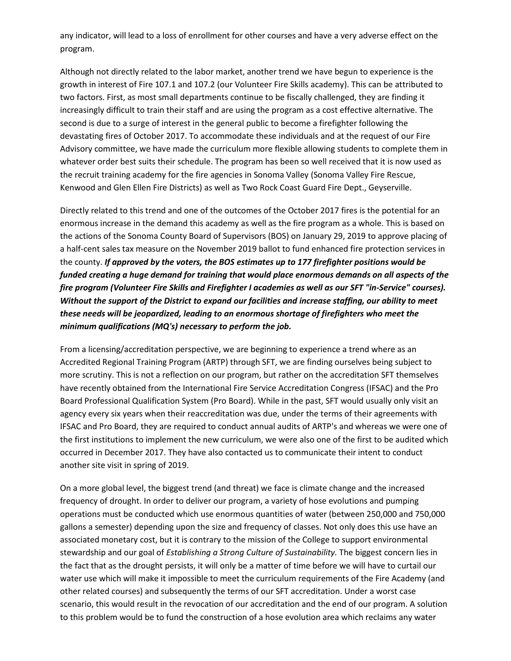any indicator, will lead to a loss of enrollment for other courses and have a very adverse effect on the program.

Although not directly related to the labor market, another trend we have begun to experience is the growth in interest of Fire 107.1 and 107.2 (our Volunteer Fire Skills academy). This can be attributed to two factors. First, as most small departments continue to be fiscally challenged, they are finding it increasingly difficult to train their staff and are using the program as a cost effective alternative. The second is due to a surge of interest in the general public to become a firefighter following the devastating fires of October 2017. To accommodate these individuals and at the request of our Fire Advisory committee, we have made the curriculum more flexible allowing students to complete them in whatever order best suits their schedule. The program has been so well received that it is now used as the recruit training academy for the fire agencies in Sonoma Valley (Sonoma Valley Fire Rescue, Kenwood and Glen Ellen Fire Districts) as well as Two Rock Coast Guard Fire Dept., Geyserville.

Directly related to this trend and one of the outcomes of the October 2017 fires is the potential for an enormous increase in the demand this academy as well as the fire program as a whole. This is based on the actions of the Sonoma County Board of Supervisors (BOS) on January 29, 2019 to approve placing of a half-cent sales tax measure on the November 2019 ballot to fund enhanced fire protection services in the county. *If approved by the voters, the BOS estimates up to 177 firefighter positions would be funded creating a huge demand for training that would place enormous demands on all aspects of the fire program (Volunteer Fire Skills and Firefighter I academies as well as our SFT "in-Service" courses). Without the support of the District to expand our facilities and increase staffing, our ability to meet these needs will be jeopardized, leading to an enormous shortage of firefighters who meet the minimum qualifications (MQ's) necessary to perform the job.* 

From a licensing/accreditation perspective, we are beginning to experience a trend where as an Accredited Regional Training Program (ARTP) through SFT, we are finding ourselves being subject to more scrutiny. This is not a reflection on our program, but rather on the accreditation SFT themselves have recently obtained from the International Fire Service Accreditation Congress (IFSAC) and the Pro Board Professional Qualification System (Pro Board). While in the past, SFT would usually only visit an agency every six years when their reaccreditation was due, under the terms of their agreements with IFSAC and Pro Board, they are required to conduct annual audits of ARTP's and whereas we were one of the first institutions to implement the new curriculum, we were also one of the first to be audited which occurred in December 2017. They have also contacted us to communicate their intent to conduct another site visit in spring of 2019.

On a more global level, the biggest trend (and threat) we face is climate change and the increased frequency of drought. In order to deliver our program, a variety of hose evolutions and pumping operations must be conducted which use enormous quantities of water (between 250,000 and 750,000 gallons a semester) depending upon the size and frequency of classes. Not only does this use have an associated monetary cost, but it is contrary to the mission of the College to support environmental stewardship and our goal of *Establishing a Strong Culture of Sustainability.* The biggest concern lies in the fact that as the drought persists, it will only be a matter of time before we will have to curtail our water use which will make it impossible to meet the curriculum requirements of the Fire Academy (and other related courses) and subsequently the terms of our SFT accreditation. Under a worst case scenario, this would result in the revocation of our accreditation and the end of our program. A solution to this problem would be to fund the construction of a hose evolution area which reclaims any water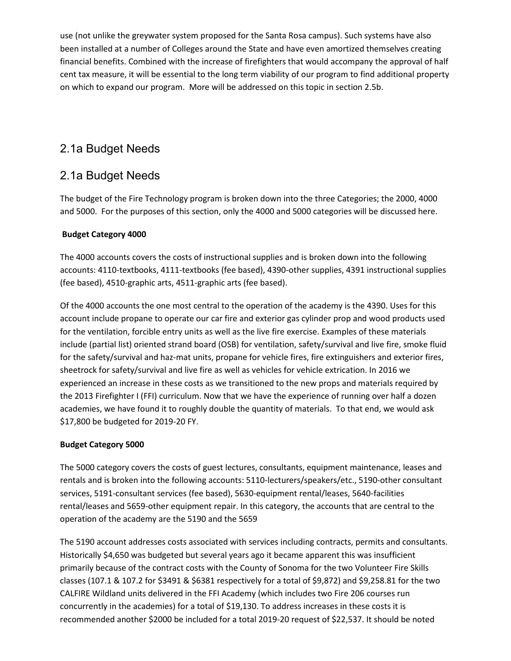use (not unlike the greywater system proposed for the Santa Rosa campus). Such systems have also been installed at a number of Colleges around the State and have even amortized themselves creating financial benefits. Combined with the increase of firefighters that would accompany the approval of half cent tax measure, it will be essential to the long term viability of our program to find additional property on which to expand our program. More will be addressed on this topic in section 2.5b.

## 2.1a Budget Needs

## 2.1a Budget Needs

The budget of the Fire Technology program is broken down into the three Categories; the 2000, 4000 and 5000. For the purposes of this section, only the 4000 and 5000 categories will be discussed here.

#### **Budget Category 4000**

The 4000 accounts covers the costs of instructional supplies and is broken down into the following accounts: 4110-textbooks, 4111-textbooks (fee based), 4390-other supplies, 4391 instructional supplies (fee based), 4510-graphic arts, 4511-graphic arts (fee based).

Of the 4000 accounts the one most central to the operation of the academy is the 4390. Uses for this account include propane to operate our car fire and exterior gas cylinder prop and wood products used for the ventilation, forcible entry units as well as the live fire exercise. Examples of these materials include (partial list) oriented strand board (OSB) for ventilation, safety/survival and live fire, smoke fluid for the safety/survival and haz-mat units, propane for vehicle fires, fire extinguishers and exterior fires, sheetrock for safety/survival and live fire as well as vehicles for vehicle extrication. In 2016 we experienced an increase in these costs as we transitioned to the new props and materials required by the 2013 Firefighter I (FFI) curriculum. Now that we have the experience of running over half a dozen academies, we have found it to roughly double the quantity of materials. To that end, we would ask \$17,800 be budgeted for 2019-20 FY.

#### **Budget Category 5000**

The 5000 category covers the costs of guest lectures, consultants, equipment maintenance, leases and rentals and is broken into the following accounts: 5110-lecturers/speakers/etc., 5190-other consultant services, 5191-consultant services (fee based), 5630-equipment rental/leases, 5640-facilities rental/leases and 5659-other equipment repair. In this category, the accounts that are central to the operation of the academy are the 5190 and the 5659

The 5190 account addresses costs associated with services including contracts, permits and consultants. Historically \$4,650 was budgeted but several years ago it became apparent this was insufficient primarily because of the contract costs with the County of Sonoma for the two Volunteer Fire Skills classes (107.1 & 107.2 for \$3491 & \$6381 respectively for a total of \$9,872) and \$9,258.81 for the two CALFIRE Wildland units delivered in the FFI Academy (which includes two Fire 206 courses run concurrently in the academies) for a total of \$19,130. To address increases in these costs it is recommended another \$2000 be included for a total 2019-20 request of \$22,537. It should be noted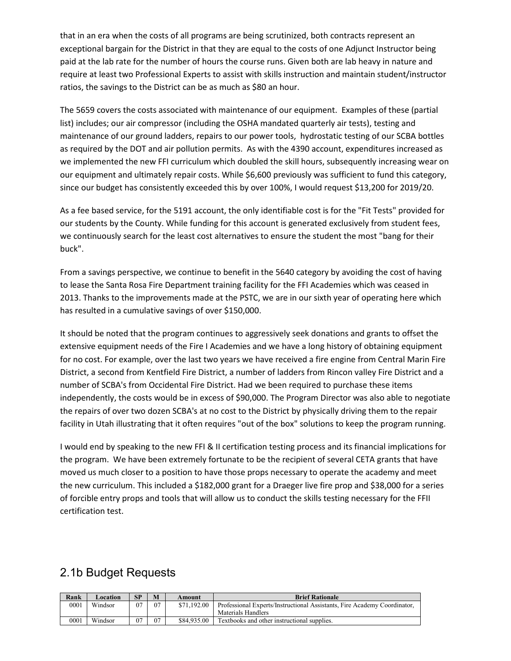that in an era when the costs of all programs are being scrutinized, both contracts represent an exceptional bargain for the District in that they are equal to the costs of one Adjunct Instructor being paid at the lab rate for the number of hours the course runs. Given both are lab heavy in nature and require at least two Professional Experts to assist with skills instruction and maintain student/instructor ratios, the savings to the District can be as much as \$80 an hour.

The 5659 covers the costs associated with maintenance of our equipment. Examples of these (partial list) includes; our air compressor (including the OSHA mandated quarterly air tests), testing and maintenance of our ground ladders, repairs to our power tools, hydrostatic testing of our SCBA bottles as required by the DOT and air pollution permits. As with the 4390 account, expenditures increased as we implemented the new FFI curriculum which doubled the skill hours, subsequently increasing wear on our equipment and ultimately repair costs. While \$6,600 previously was sufficient to fund this category, since our budget has consistently exceeded this by over 100%, I would request \$13,200 for 2019/20.

As a fee based service, for the 5191 account, the only identifiable cost is for the "Fit Tests" provided for our students by the County. While funding for this account is generated exclusively from student fees, we continuously search for the least cost alternatives to ensure the student the most "bang for their buck".

From a savings perspective, we continue to benefit in the 5640 category by avoiding the cost of having to lease the Santa Rosa Fire Department training facility for the FFI Academies which was ceased in 2013. Thanks to the improvements made at the PSTC, we are in our sixth year of operating here which has resulted in a cumulative savings of over \$150,000.

It should be noted that the program continues to aggressively seek donations and grants to offset the extensive equipment needs of the Fire I Academies and we have a long history of obtaining equipment for no cost. For example, over the last two years we have received a fire engine from Central Marin Fire District, a second from Kentfield Fire District, a number of ladders from Rincon valley Fire District and a number of SCBA's from Occidental Fire District. Had we been required to purchase these items independently, the costs would be in excess of \$90,000. The Program Director was also able to negotiate the repairs of over two dozen SCBA's at no cost to the District by physically driving them to the repair facility in Utah illustrating that it often requires "out of the box" solutions to keep the program running.

I would end by speaking to the new FFI & II certification testing process and its financial implications for the program. We have been extremely fortunate to be the recipient of several CETA grants that have moved us much closer to a position to have those props necessary to operate the academy and meet the new curriculum. This included a \$182,000 grant for a Draeger live fire prop and \$38,000 for a series of forcible entry props and tools that will allow us to conduct the skills testing necessary for the FFII certification test.

### 2.1b Budget Requests

| Rank | Location | SP  | M  | Amount      | <b>Brief Rationale</b>                                                   |
|------|----------|-----|----|-------------|--------------------------------------------------------------------------|
| 0001 | Windsor  | 07  | 07 | \$71.192.00 | Professional Experts/Instructional Assistants. Fire Academy Coordinator. |
|      |          |     |    |             | Materials Handlers                                                       |
| 0001 | Windsor  | -07 | 07 | \$84,935.00 | Textbooks and other instructional supplies.                              |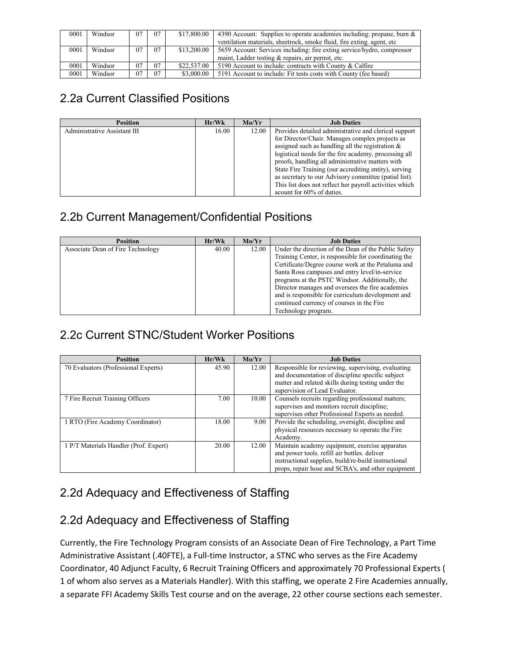| 0001 | Windsor | 07 | 07 | \$17,800.00 | 4390 Account: Supplies to operate academies including: propane, burn $\&$ |
|------|---------|----|----|-------------|---------------------------------------------------------------------------|
|      |         |    |    |             | ventilation materials, sheetrock, smoke fluid, fire exting, agent, etc.   |
| 0001 | Windsor | 07 | 07 | \$13,200.00 | 5659 Account: Services including: fire exting service/hydro, compressor   |
|      |         |    |    |             | maint. Ladder testing & repairs, air permit, etc.                         |
| 0001 | Windsor | 07 | 07 | \$22,537.00 | 5190 Account to include: contracts with County & Calfire                  |
| 0001 | Windsor | 07 | 07 | \$3,000,00  | 5191 Account to include: Fit tests costs with County (fee based)          |

## 2.2a Current Classified Positions

| <b>Position</b>              | Hr/Wk | Mo/Yr | <b>Job Duties</b>                                       |
|------------------------------|-------|-------|---------------------------------------------------------|
| Administrative Assistant III | 16.00 | 12.00 | Provides detailed administrative and clerical support   |
|                              |       |       | for Director/Chair. Manages complex projects as         |
|                              |       |       | assigned such as handling all the registration $\&$     |
|                              |       |       | logistical needs for the fire academy, processing all   |
|                              |       |       | proofs, handling all administrative matters with        |
|                              |       |       | State Fire Training (our accrediting entity), serving   |
|                              |       |       | as secretary to our Advisory committee (patial list).   |
|                              |       |       | This list does not reflect her payroll activities which |
|                              |       |       | acount for 60% of duties.                               |

## 2.2b Current Management/Confidential Positions

| <b>Position</b>                   | Hr/Wk | Mo/Yr | <b>Job Duties</b>                                                                                            |
|-----------------------------------|-------|-------|--------------------------------------------------------------------------------------------------------------|
| Associate Dean of Fire Technology | 40.00 | 12.00 | Under the direction of the Dean of the Public Safety<br>Training Center, is responsible for coordinating the |
|                                   |       |       | Certificate/Degree course work at the Petaluma and                                                           |
|                                   |       |       | Santa Rosa campuses and entry level/in-service                                                               |
|                                   |       |       | programs at the PSTC Windsor. Additionally, the                                                              |
|                                   |       |       | Director manages and oversees the fire academies                                                             |
|                                   |       |       | and is responsible for curriculum development and                                                            |
|                                   |       |       | continued currency of courses in the Fire                                                                    |
|                                   |       |       | Technology program.                                                                                          |

## 2.2c Current STNC/Student Worker Positions

| <b>Position</b>                        | Hr/Wk | Mo/Yr | <b>Job Duties</b>                                    |
|----------------------------------------|-------|-------|------------------------------------------------------|
| 70 Evaluators (Professional Experts)   | 45.90 | 12.00 | Responsible for reviewing, supervising, evaluating   |
|                                        |       |       | and documentation of discipline specific subject     |
|                                        |       |       | matter and related skills during testing under the   |
|                                        |       |       | supervision of Lead Evaluator.                       |
| 7 Fire Recruit Training Officers       | 7.00  | 10.00 | Counsels recruits regarding professional matters;    |
|                                        |       |       | supervises and monitors recruit discipline;          |
|                                        |       |       | supervises other Professional Experts as needed.     |
| 1 RTO (Fire Academy Coordinator)       | 18.00 | 9.00  | Provide the scheduling, oversight, discipline and    |
|                                        |       |       | physical resources necessary to operate the Fire     |
|                                        |       |       | Academy.                                             |
| 1 P/T Materials Handler (Prof. Expert) | 20.00 | 12.00 | Maintain academy equipment, exercise apparatus       |
|                                        |       |       | and power tools. refill air bottles. deliver         |
|                                        |       |       | instructional supplies, build/re-build instructional |
|                                        |       |       | props, repair hose and SCBA's, and other equipment   |

## 2.2d Adequacy and Effectiveness of Staffing

## 2.2d Adequacy and Effectiveness of Staffing

Currently, the Fire Technology Program consists of an Associate Dean of Fire Technology, a Part Time Administrative Assistant (.40FTE), a Full-time Instructor, a STNC who serves as the Fire Academy Coordinator, 40 Adjunct Faculty, 6 Recruit Training Officers and approximately 70 Professional Experts ( 1 of whom also serves as a Materials Handler). With this staffing, we operate 2 Fire Academies annually, a separate FFI Academy Skills Test course and on the average, 22 other course sections each semester.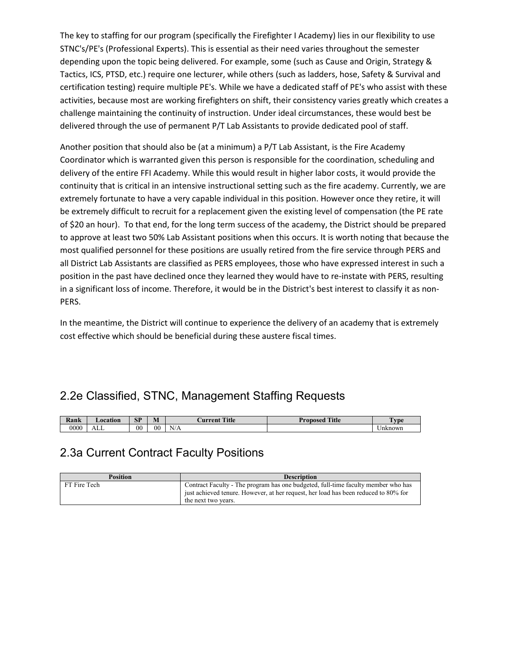The key to staffing for our program (specifically the Firefighter I Academy) lies in our flexibility to use STNC's/PE's (Professional Experts). This is essential as their need varies throughout the semester depending upon the topic being delivered. For example, some (such as Cause and Origin, Strategy & Tactics, ICS, PTSD, etc.) require one lecturer, while others (such as ladders, hose, Safety & Survival and certification testing) require multiple PE's. While we have a dedicated staff of PE's who assist with these activities, because most are working firefighters on shift, their consistency varies greatly which creates a challenge maintaining the continuity of instruction. Under ideal circumstances, these would best be delivered through the use of permanent P/T Lab Assistants to provide dedicated pool of staff.

Another position that should also be (at a minimum) a P/T Lab Assistant, is the Fire Academy Coordinator which is warranted given this person is responsible for the coordination, scheduling and delivery of the entire FFI Academy. While this would result in higher labor costs, it would provide the continuity that is critical in an intensive instructional setting such as the fire academy. Currently, we are extremely fortunate to have a very capable individual in this position. However once they retire, it will be extremely difficult to recruit for a replacement given the existing level of compensation (the PE rate of \$20 an hour). To that end, for the long term success of the academy, the District should be prepared to approve at least two 50% Lab Assistant positions when this occurs. It is worth noting that because the most qualified personnel for these positions are usually retired from the fire service through PERS and all District Lab Assistants are classified as PERS employees, those who have expressed interest in such a position in the past have declined once they learned they would have to re-instate with PERS, resulting in a significant loss of income. Therefore, it would be in the District's best interest to classify it as non-PERS.

In the meantime, the District will continue to experience the delivery of an academy that is extremely cost effective which should be beneficial during these austere fiscal times.

## 2.2e Classified, STNC, Management Staffing Requests

| $\mathbf{r}$<br>Kank | ∟ocation | <b>SP</b>      | $\blacksquare$<br>11L | <b>Title</b><br>urren′ | Title<br>Pronosed | vpe     |
|----------------------|----------|----------------|-----------------------|------------------------|-------------------|---------|
| 0000                 | ℩ℶ       | 0 <sup>0</sup> | $00\,$                | N/A                    |                   | Unknown |

### 2.3a Current Contract Faculty Positions

| <b>Position</b> | <b>Description</b>                                                                  |
|-----------------|-------------------------------------------------------------------------------------|
| FT Fire Tech    | Contract Faculty - The program has one budgeted, full-time faculty member who has   |
|                 | just achieved tenure. However, at her request, her load has been reduced to 80% for |
|                 | the next two years.                                                                 |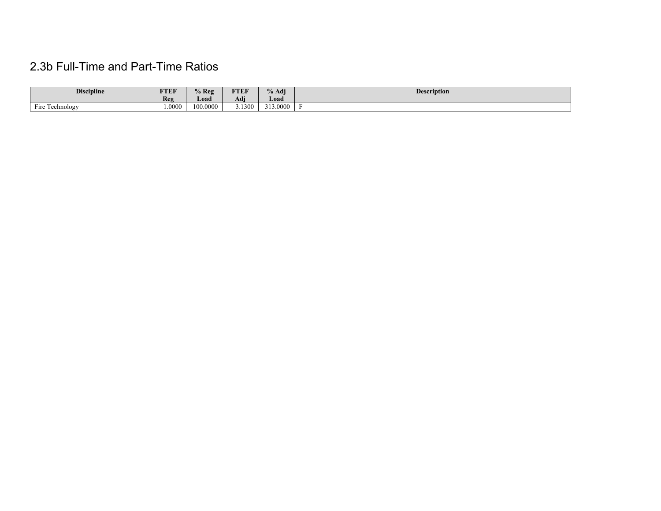## 2.3b Full-Time and Part-Time Ratios

| <b>Discipline</b> | FTEF   | $%$ Reg  | <b>FTEF</b> | $\mathbf{0}_{\alpha}$<br>% Adi | <b>Description</b> |
|-------------------|--------|----------|-------------|--------------------------------|--------------------|
|                   | Reg    | Load     | Adi         | Load                           |                    |
| Fire Technology   | 1.0000 | 100.0000 | 3.1300      | 313.0000                       |                    |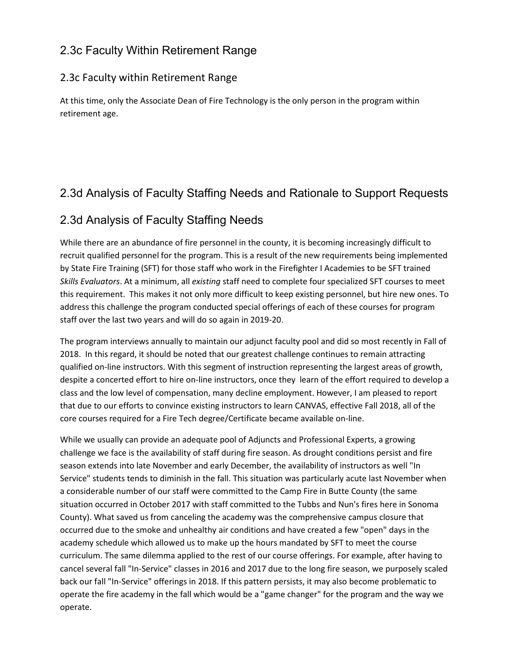## 2.3c Faculty Within Retirement Range

### 2.3c Faculty within Retirement Range

At this time, only the Associate Dean of Fire Technology is the only person in the program within retirement age.

## 2.3d Analysis of Faculty Staffing Needs and Rationale to Support Requests

## 2.3d Analysis of Faculty Staffing Needs

While there are an abundance of fire personnel in the county, it is becoming increasingly difficult to recruit qualified personnel for the program. This is a result of the new requirements being implemented by State Fire Training (SFT) for those staff who work in the Firefighter I Academies to be SFT trained *Skills Evaluators*. At a minimum, all *existing* staff need to complete four specialized SFT courses to meet this requirement. This makes it not only more difficult to keep existing personnel, but hire new ones. To address this challenge the program conducted special offerings of each of these courses for program staff over the last two years and will do so again in 2019-20.

The program interviews annually to maintain our adjunct faculty pool and did so most recently in Fall of 2018. In this regard, it should be noted that our greatest challenge continues to remain attracting qualified on-line instructors. With this segment of instruction representing the largest areas of growth, despite a concerted effort to hire on-line instructors, once they learn of the effort required to develop a class and the low level of compensation, many decline employment. However, I am pleased to report that due to our efforts to convince existing instructors to learn CANVAS, effective Fall 2018, all of the core courses required for a Fire Tech degree/Certificate became available on-line.

While we usually can provide an adequate pool of Adjuncts and Professional Experts, a growing challenge we face is the availability of staff during fire season. As drought conditions persist and fire season extends into late November and early December, the availability of instructors as well "In Service" students tends to diminish in the fall. This situation was particularly acute last November when a considerable number of our staff were committed to the Camp Fire in Butte County (the same situation occurred in October 2017 with staff committed to the Tubbs and Nun's fires here in Sonoma County). What saved us from canceling the academy was the comprehensive campus closure that occurred due to the smoke and unhealthy air conditions and have created a few "open" days in the academy schedule which allowed us to make up the hours mandated by SFT to meet the course curriculum. The same dilemma applied to the rest of our course offerings. For example, after having to cancel several fall "In-Service" classes in 2016 and 2017 due to the long fire season, we purposely scaled back our fall "In-Service" offerings in 2018. If this pattern persists, it may also become problematic to operate the fire academy in the fall which would be a "game changer" for the program and the way we operate.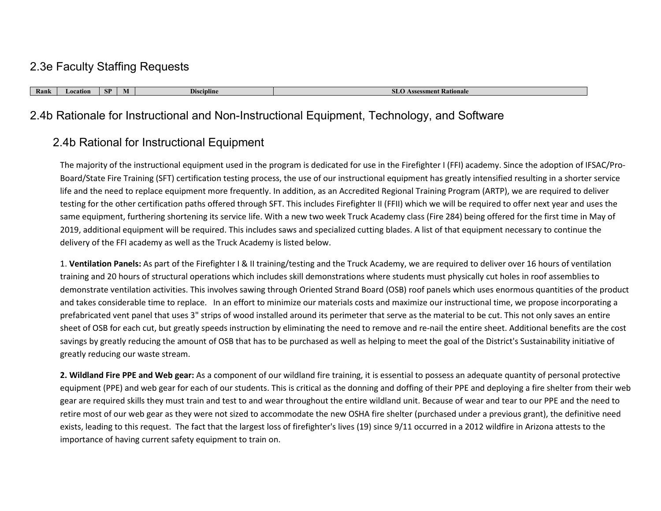### 2.3e Faculty Staffing Requests

**Rank Location SP M Discipline SLO Assessment Rationale**

## 2.4b Rationale for Instructional and Non-Instructional Equipment, Technology, and Software

## 2.4b Rational for Instructional Equipment

The majority of the instructional equipment used in the program is dedicated for use in the Firefighter I (FFI) academy. Since the adoption of IFSAC/Pro-Board/State Fire Training (SFT) certification testing process, the use of our instructional equipment has greatly intensified resulting in a shorter service life and the need to replace equipment more frequently. In addition, as an Accredited Regional Training Program (ARTP), we are required to deliver testing for the other certification paths offered through SFT. This includes Firefighter II (FFII) which we will be required to offer next year and uses the same equipment, furthering shortening its service life. With a new two week Truck Academy class (Fire 284) being offered for the first time in May of 2019, additional equipment will be required. This includes saws and specialized cutting blades. A list of that equipment necessary to continue the delivery of the FFI academy as well as the Truck Academy is listed below.

1. **Ventilation Panels:** As part of the Firefighter I & II training/testing and the Truck Academy, we are required to deliver over 16 hours of ventilation training and 20 hours of structural operations which includes skill demonstrations where students must physically cut holes in roof assemblies to demonstrate ventilation activities. This involves sawing through Oriented Strand Board (OSB) roof panels which uses enormous quantities of the product and takes considerable time to replace. In an effort to minimize our materials costs and maximize our instructional time, we propose incorporating a prefabricated vent panel that uses 3" strips of wood installed around its perimeter that serve as the material to be cut. This not only saves an entire sheet of OSB for each cut, but greatly speeds instruction by eliminating the need to remove and re-nail the entire sheet. Additional benefits are the cost savings by greatly reducing the amount of OSB that has to be purchased as well as helping to meet the goal of the District's Sustainability initiative of greatly reducing our waste stream.

**2. Wildland Fire PPE and Web gear:** As a component of our wildland fire training, it is essential to possess an adequate quantity of personal protective equipment (PPE) and web gear for each of our students. This is critical as the donning and doffing of their PPE and deploying a fire shelter from their web gear are required skills they must train and test to and wear throughout the entire wildland unit. Because of wear and tear to our PPE and the need to retire most of our web gear as they were not sized to accommodate the new OSHA fire shelter (purchased under a previous grant), the definitive need exists, leading to this request. The fact that the largest loss of firefighter's lives (19) since 9/11 occurred in a 2012 wildfire in Arizona attests to the importance of having current safety equipment to train on.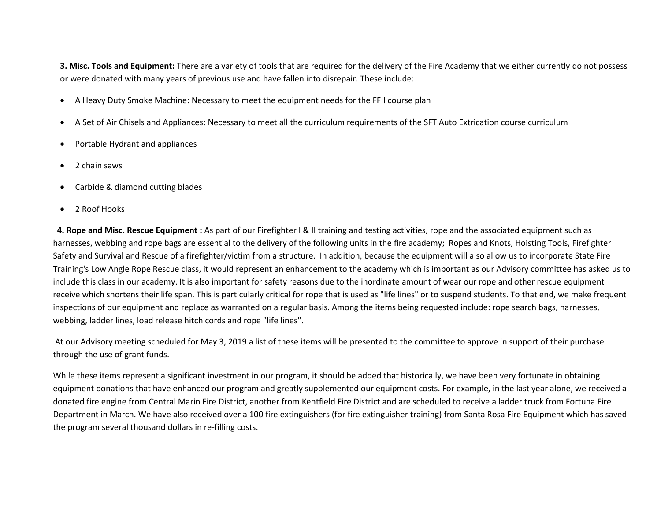**3. Misc. Tools and Equipment:** There are a variety of tools that are required for the delivery of the Fire Academy that we either currently do not possess or were donated with many years of previous use and have fallen into disrepair. These include:

- A Heavy Duty Smoke Machine: Necessary to meet the equipment needs for the FFII course plan
- A Set of Air Chisels and Appliances: Necessary to meet all the curriculum requirements of the SFT Auto Extrication course curriculum
- Portable Hydrant and appliances
- 2 chain saws
- Carbide & diamond cutting blades
- 2 Roof Hooks

 **4. Rope and Misc. Rescue Equipment :** As part of our Firefighter I & II training and testing activities, rope and the associated equipment such as harnesses, webbing and rope bags are essential to the delivery of the following units in the fire academy; Ropes and Knots, Hoisting Tools, Firefighter Safety and Survival and Rescue of a firefighter/victim from a structure. In addition, because the equipment will also allow us to incorporate State Fire Training's Low Angle Rope Rescue class, it would represent an enhancement to the academy which is important as our Advisory committee has asked us to include this class in our academy. It is also important for safety reasons due to the inordinate amount of wear our rope and other rescue equipment receive which shortens their life span. This is particularly critical for rope that is used as "life lines" or to suspend students. To that end, we make frequent inspections of our equipment and replace as warranted on a regular basis. Among the items being requested include: rope search bags, harnesses, webbing, ladder lines, load release hitch cords and rope "life lines".

At our Advisory meeting scheduled for May 3, 2019 a list of these items will be presented to the committee to approve in support of their purchase through the use of grant funds.

While these items represent a significant investment in our program, it should be added that historically, we have been very fortunate in obtaining equipment donations that have enhanced our program and greatly supplemented our equipment costs. For example, in the last year alone, we received a donated fire engine from Central Marin Fire District, another from Kentfield Fire District and are scheduled to receive a ladder truck from Fortuna Fire Department in March. We have also received over a 100 fire extinguishers (for fire extinguisher training) from Santa Rosa Fire Equipment which has saved the program several thousand dollars in re-filling costs.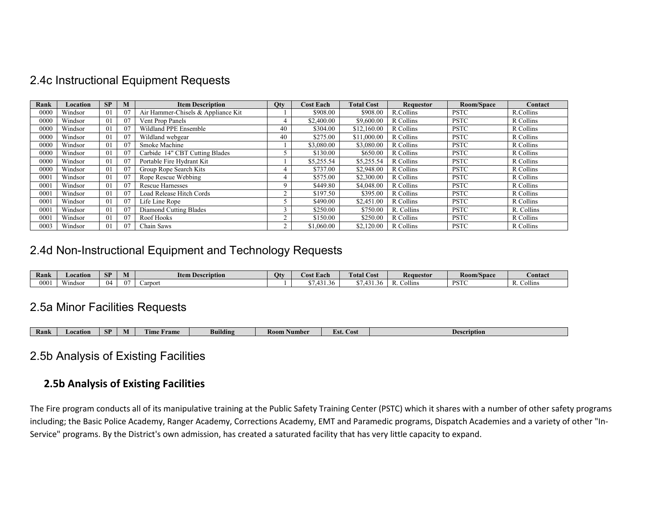### 2.4c Instructional Equipment Requests

| Rank     | Location | SP             | M  | <b>Item Description</b>            | <b>Qty</b> | <b>Cost Each</b> | <b>Total Cost</b> | <b>Requestor</b> | Room/Space  | Contact    |
|----------|----------|----------------|----|------------------------------------|------------|------------------|-------------------|------------------|-------------|------------|
| 0000     | Windsor  | 01             | 07 | Air Hammer-Chisels & Appliance Kit |            | \$908.00         | \$908.00          | R.Collins        | <b>PSTC</b> | R.Collins  |
| $0000\,$ | Windsor  | 01             | 07 | Vent Prop Panels                   |            | \$2,400.00       | \$9,600.00        | R Collins        | <b>PSTC</b> | R Collins  |
| 0000     | Windsor  | 0 <sub>1</sub> | 07 | Wildland PPE Ensemble              | 40         | \$304.00         | \$12,160.00       | R Collins        | <b>PSTC</b> | R Collins  |
| 0000     | Windsor  | 01             | 07 | Wildland webgear                   | 40         | \$275.00         | \$11,000.00       | R Collins        | <b>PSTC</b> | R Collins  |
| 0000     | Windsor  | 01             | 07 | Smoke Machine                      |            | \$3,080.00       | \$3,080.00        | R Collins        | <b>PSTC</b> | R Collins  |
| 0000     | Windsor  | 01             | 07 | Carbide 14" CBT Cutting Blades     |            | \$130.00         | \$650.00          | R Collins        | <b>PSTC</b> | R Collins  |
| 0000     | Windsor  | 01             | 07 | Portable Fire Hydrant Kit          |            | \$5,255.54       | \$5,255.54        | R Collins        | <b>PSTC</b> | R Collins  |
| 0000     | Windsor  | 01             | 07 | Group Rope Search Kits             |            | \$737.00         | \$2,948.00        | R Collins        | <b>PSTC</b> | R Collins  |
| 0001     | Windsor  | 01             | 07 | Rope Rescue Webbing                |            | \$575.00         | \$2,300.00        | R Collins        | <b>PSTC</b> | R Collins  |
| 0001     | Windsor  | 01             | 07 | <b>Rescue Harnesses</b>            |            | \$449.80         | \$4,048.00        | R Collins        | <b>PSTC</b> | R Collins  |
| 0001     | Windsor  | 01             | 07 | Load Release Hitch Cords           |            | \$197.50         | \$395.00          | R Collins        | <b>PSTC</b> | R Collins  |
| 0001     | Windsor  | 01             | 07 | Life Line Rope                     |            | \$490.00         | \$2,451.00        | R Collins        | <b>PSTC</b> | R Collins  |
| 0001     | Windsor  | 01             | 07 | Diamond Cutting Blades             |            | \$250.00         | \$750.00          | R. Collins       | <b>PSTC</b> | R. Collins |
| 0001     | Windsor  | 01             | 07 | Roof Hooks                         |            | \$150.00         | \$250.00          | R Collins        | <b>PSTC</b> | R Collins  |
| 0003     | Windsor  | 01             | 07 | Chain Saws                         |            | \$1,060.00       | \$2,120.00        | R Collins        | <b>PSTC</b> | R Collins  |

### 2.4d Non-Instructional Equipment and Technology Requests

| Rank       | Location           | <b>SP</b> | W | <b>Item Description</b> | Otv | Cost Each                        | $\mathbf{r}$<br><b>Cotal</b><br>Cost | <b>Requestor</b>                | $\mathbf{r}$<br><b>Room/Space</b> | $\sim$<br><b>Contact</b> |
|------------|--------------------|-----------|---|-------------------------|-----|----------------------------------|--------------------------------------|---------------------------------|-----------------------------------|--------------------------|
| ων.<br>JU. | <b>WI</b><br>ndsor | 04        |   | arport                  |     | $\sqrt{2}$<br>.30.<br>41<br>$-1$ |                                      | <br>$\sim$<br>$\epsilon$ ollins | DCT.<br>$\overline{ }$            | Collins<br>D<br>X.       |

### 2.5a Minor Facilities Requests

| <b>COLOR</b><br>CD<br>Building<br>Rank<br>K00<br>Lïmo<br>Aumber<br>rame<br>Locatior<br>Description<br><b>Cost</b><br>IVI<br>OГ<br><b>COLORED BANK</b> |  |  |  |  |  |  |  |
|-------------------------------------------------------------------------------------------------------------------------------------------------------|--|--|--|--|--|--|--|
|-------------------------------------------------------------------------------------------------------------------------------------------------------|--|--|--|--|--|--|--|

### 2.5b Analysis of Existing Facilities

### **2.5b Analysis of Existing Facilities**

The Fire program conducts all of its manipulative training at the Public Safety Training Center (PSTC) which it shares with a number of other safety programs including; the Basic Police Academy, Ranger Academy, Corrections Academy, EMT and Paramedic programs, Dispatch Academies and a variety of other "In-Service" programs. By the District's own admission, has created a saturated facility that has very little capacity to expand.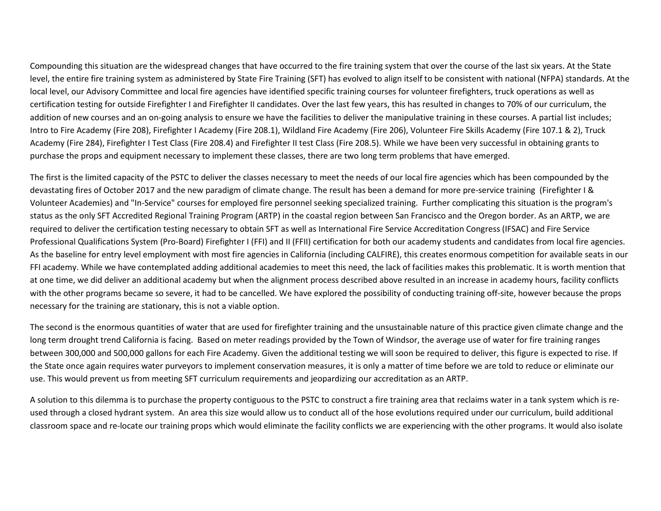Compounding this situation are the widespread changes that have occurred to the fire training system that over the course of the last six years. At the State level, the entire fire training system as administered by State Fire Training (SFT) has evolved to align itself to be consistent with national (NFPA) standards. At the local level, our Advisory Committee and local fire agencies have identified specific training courses for volunteer firefighters, truck operations as well as certification testing for outside Firefighter I and Firefighter II candidates. Over the last few years, this has resulted in changes to 70% of our curriculum, the addition of new courses and an on-going analysis to ensure we have the facilities to deliver the manipulative training in these courses. A partial list includes; Intro to Fire Academy (Fire 208), Firefighter I Academy (Fire 208.1), Wildland Fire Academy (Fire 206), Volunteer Fire Skills Academy (Fire 107.1 & 2), Truck Academy (Fire 284), Firefighter I Test Class (Fire 208.4) and Firefighter II test Class (Fire 208.5). While we have been very successful in obtaining grants to purchase the props and equipment necessary to implement these classes, there are two long term problems that have emerged.

The first is the limited capacity of the PSTC to deliver the classes necessary to meet the needs of our local fire agencies which has been compounded by the devastating fires of October 2017 and the new paradigm of climate change. The result has been a demand for more pre-service training (Firefighter I & Volunteer Academies) and "In-Service" courses for employed fire personnel seeking specialized training. Further complicating this situation is the program's status as the only SFT Accredited Regional Training Program (ARTP) in the coastal region between San Francisco and the Oregon border. As an ARTP, we are required to deliver the certification testing necessary to obtain SFT as well as International Fire Service Accreditation Congress (IFSAC) and Fire Service Professional Qualifications System (Pro-Board) Firefighter I (FFI) and II (FFII) certification for both our academy students and candidates from local fire agencies. As the baseline for entry level employment with most fire agencies in California (including CALFIRE), this creates enormous competition for available seats in our FFI academy. While we have contemplated adding additional academies to meet this need, the lack of facilities makes this problematic. It is worth mention that at one time, we did deliver an additional academy but when the alignment process described above resulted in an increase in academy hours, facility conflicts with the other programs became so severe, it had to be cancelled. We have explored the possibility of conducting training off-site, however because the props necessary for the training are stationary, this is not a viable option.

The second is the enormous quantities of water that are used for firefighter training and the unsustainable nature of this practice given climate change and the long term drought trend California is facing. Based on meter readings provided by the Town of Windsor, the average use of water for fire training ranges between 300,000 and 500,000 gallons for each Fire Academy. Given the additional testing we will soon be required to deliver, this figure is expected to rise. If the State once again requires water purveyors to implement conservation measures, it is only a matter of time before we are told to reduce or eliminate our use. This would prevent us from meeting SFT curriculum requirements and jeopardizing our accreditation as an ARTP.

A solution to this dilemma is to purchase the property contiguous to the PSTC to construct a fire training area that reclaims water in a tank system which is reused through a closed hydrant system. An area this size would allow us to conduct all of the hose evolutions required under our curriculum, build additional classroom space and re-locate our training props which would eliminate the facility conflicts we are experiencing with the other programs. It would also isolate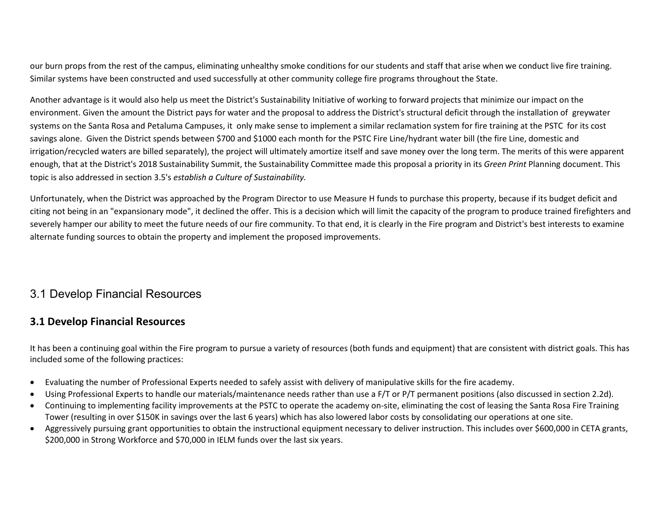our burn props from the rest of the campus, eliminating unhealthy smoke conditions for our students and staff that arise when we conduct live fire training. Similar systems have been constructed and used successfully at other community college fire programs throughout the State.

Another advantage is it would also help us meet the District's Sustainability Initiative of working to forward projects that minimize our impact on the environment. Given the amount the District pays for water and the proposal to address the District's structural deficit through the installation of greywater systems on the Santa Rosa and Petaluma Campuses, it only make sense to implement a similar reclamation system for fire training at the PSTC for its cost savings alone. Given the District spends between \$700 and \$1000 each month for the PSTC Fire Line/hydrant water bill (the fire Line, domestic and irrigation/recycled waters are billed separately), the project will ultimately amortize itself and save money over the long term. The merits of this were apparent enough, that at the District's 2018 Sustainability Summit, the Sustainability Committee made this proposal a priority in its *Green Print* Planning document. This topic is also addressed in section 3.5's *establish a Culture of Sustainability.*

Unfortunately, when the District was approached by the Program Director to use Measure H funds to purchase this property, because if its budget deficit and citing not being in an "expansionary mode", it declined the offer. This is a decision which will limit the capacity of the program to produce trained firefighters and severely hamper our ability to meet the future needs of our fire community. To that end, it is clearly in the Fire program and District's best interests to examine alternate funding sources to obtain the property and implement the proposed improvements.

## 3.1 Develop Financial Resources

### **3.1 Develop Financial Resources**

It has been a continuing goal within the Fire program to pursue a variety of resources (both funds and equipment) that are consistent with district goals. This has included some of the following practices:

- Evaluating the number of Professional Experts needed to safely assist with delivery of manipulative skills for the fire academy.
- Using Professional Experts to handle our materials/maintenance needs rather than use a F/T or P/T permanent positions (also discussed in section 2.2d).
- Continuing to implementing facility improvements at the PSTC to operate the academy on-site, eliminating the cost of leasing the Santa Rosa Fire Training Tower (resulting in over \$150K in savings over the last 6 years) which has also lowered labor costs by consolidating our operations at one site.
- Aggressively pursuing grant opportunities to obtain the instructional equipment necessary to deliver instruction. This includes over \$600,000 in CETA grants, \$200,000 in Strong Workforce and \$70,000 in IELM funds over the last six years.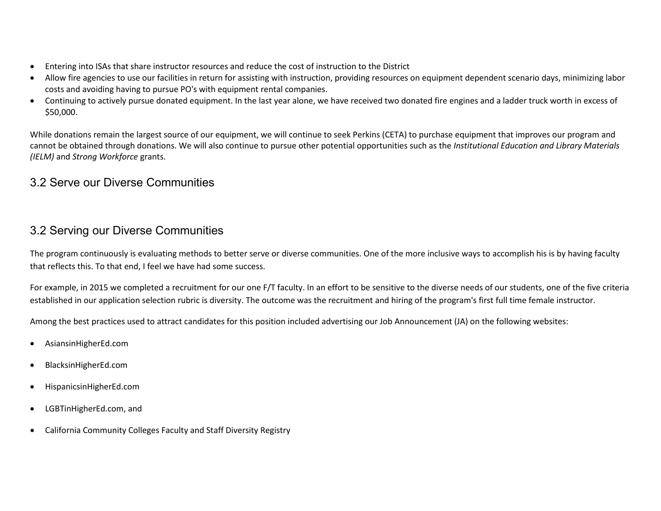- Entering into ISAs that share instructor resources and reduce the cost of instruction to the District
- Allow fire agencies to use our facilities in return for assisting with instruction, providing resources on equipment dependent scenario days, minimizing labor costs and avoiding having to pursue PO's with equipment rental companies.
- Continuing to actively pursue donated equipment. In the last year alone, we have received two donated fire engines and a ladder truck worth in excess of \$50,000.

While donations remain the largest source of our equipment, we will continue to seek Perkins (CETA) to purchase equipment that improves our program and cannot be obtained through donations. We will also continue to pursue other potential opportunities such as the *Institutional Education and Library Materials (IELM)* and *Strong Workforce* grants.

## 3.2 Serve our Diverse Communities

## 3.2 Serving our Diverse Communities

The program continuously is evaluating methods to better serve or diverse communities. One of the more inclusive ways to accomplish his is by having faculty that reflects this. To that end, I feel we have had some success.

For example, in 2015 we completed a recruitment for our one F/T faculty. In an effort to be sensitive to the diverse needs of our students, one of the five criteria established in our application selection rubric is diversity. The outcome was the recruitment and hiring of the program's first full time female instructor.

Among the best practices used to attract candidates for this position included advertising our Job Announcement (JA) on the following websites:

- AsiansinHigherEd.com
- BlacksinHigherEd.com
- HispanicsinHigherEd.com
- LGBTinHigherEd.com, and
- California Community Colleges Faculty and Staff Diversity Registry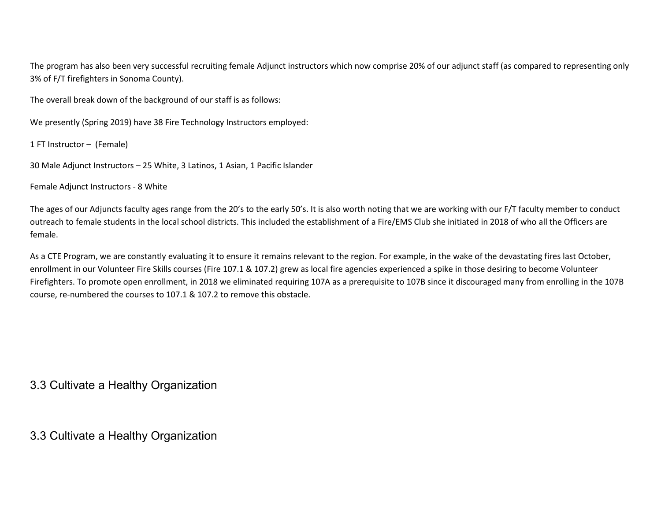The program has also been very successful recruiting female Adjunct instructors which now comprise 20% of our adjunct staff (as compared to representing only 3% of F/T firefighters in Sonoma County).

The overall break down of the background of our staff is as follows:

We presently (Spring 2019) have 38 Fire Technology Instructors employed:

1 FT Instructor – (Female)

30 Male Adjunct Instructors – 25 White, 3 Latinos, 1 Asian, 1 Pacific Islander

Female Adjunct Instructors - 8 White

The ages of our Adjuncts faculty ages range from the 20's to the early 50's. It is also worth noting that we are working with our F/T faculty member to conduct outreach to female students in the local school districts. This included the establishment of a Fire/EMS Club she initiated in 2018 of who all the Officers are female.

As a CTE Program, we are constantly evaluating it to ensure it remains relevant to the region. For example, in the wake of the devastating fires last October, enrollment in our Volunteer Fire Skills courses (Fire 107.1 & 107.2) grew as local fire agencies experienced a spike in those desiring to become Volunteer Firefighters. To promote open enrollment, in 2018 we eliminated requiring 107A as a prerequisite to 107B since it discouraged many from enrolling in the 107B course, re-numbered the courses to 107.1 & 107.2 to remove this obstacle.

3.3 Cultivate a Healthy Organization

3.3 Cultivate a Healthy Organization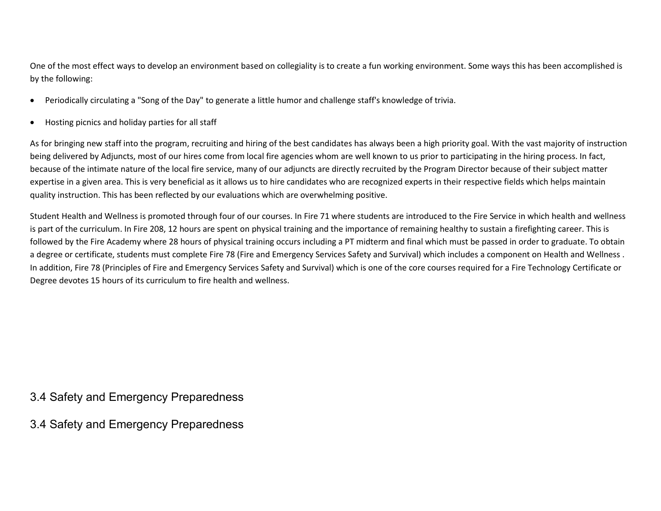One of the most effect ways to develop an environment based on collegiality is to create a fun working environment. Some ways this has been accomplished is by the following:

- Periodically circulating a "Song of the Day" to generate a little humor and challenge staff's knowledge of trivia.
- Hosting picnics and holiday parties for all staff

As for bringing new staff into the program, recruiting and hiring of the best candidates has always been a high priority goal. With the vast majority of instruction being delivered by Adjuncts, most of our hires come from local fire agencies whom are well known to us prior to participating in the hiring process. In fact, because of the intimate nature of the local fire service, many of our adjuncts are directly recruited by the Program Director because of their subject matter expertise in a given area. This is very beneficial as it allows us to hire candidates who are recognized experts in their respective fields which helps maintain quality instruction. This has been reflected by our evaluations which are overwhelming positive.

Student Health and Wellness is promoted through four of our courses. In Fire 71 where students are introduced to the Fire Service in which health and wellness is part of the curriculum. In Fire 208, 12 hours are spent on physical training and the importance of remaining healthy to sustain a firefighting career. This is followed by the Fire Academy where 28 hours of physical training occurs including a PT midterm and final which must be passed in order to graduate. To obtain a degree or certificate, students must complete Fire 78 (Fire and Emergency Services Safety and Survival) which includes a component on Health and Wellness. In addition, Fire 78 (Principles of Fire and Emergency Services Safety and Survival) which is one of the core courses required for a Fire Technology Certificate or Degree devotes 15 hours of its curriculum to fire health and wellness.

### 3.4 Safety and Emergency Preparedness

3.4 Safety and Emergency Preparedness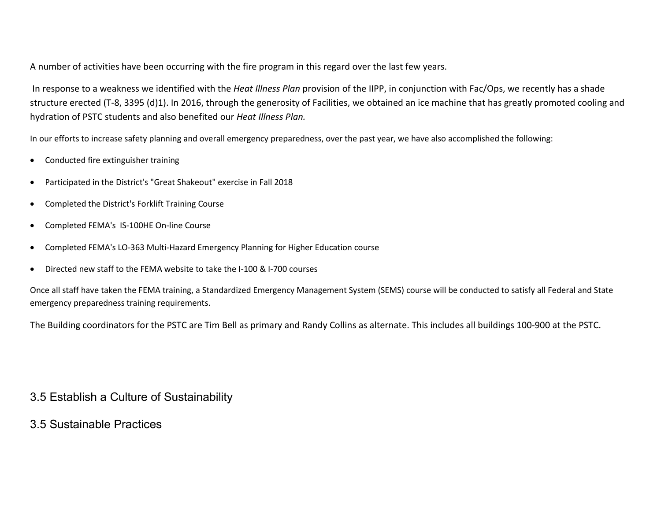A number of activities have been occurring with the fire program in this regard over the last few years.

In response to a weakness we identified with the *Heat Illness Plan* provision of the IIPP, in conjunction with Fac/Ops, we recently has a shade structure erected (T-8, 3395 (d)1). In 2016, through the generosity of Facilities, we obtained an ice machine that has greatly promoted cooling and hydration of PSTC students and also benefited our *Heat Illness Plan.*

In our efforts to increase safety planning and overall emergency preparedness, over the past year, we have also accomplished the following:

- Conducted fire extinguisher training
- Participated in the District's "Great Shakeout" exercise in Fall 2018
- Completed the District's Forklift Training Course
- Completed FEMA's IS-100HE On-line Course
- Completed FEMA's LO-363 Multi-Hazard Emergency Planning for Higher Education course
- Directed new staff to the FEMA website to take the I-100 & I-700 courses

Once all staff have taken the FEMA training, a Standardized Emergency Management System (SEMS) course will be conducted to satisfy all Federal and State emergency preparedness training requirements.

The Building coordinators for the PSTC are Tim Bell as primary and Randy Collins as alternate. This includes all buildings 100-900 at the PSTC.

3.5 Establish a Culture of Sustainability

3.5 Sustainable Practices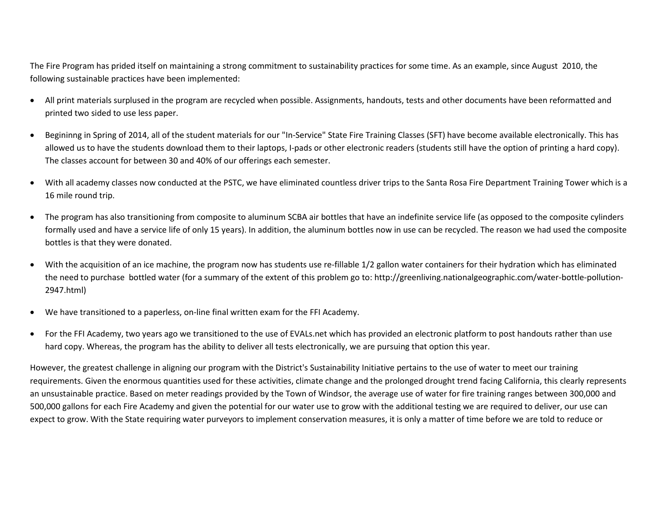The Fire Program has prided itself on maintaining a strong commitment to sustainability practices for some time. As an example, since August 2010, the following sustainable practices have been implemented:

- All print materials surplused in the program are recycled when possible. Assignments, handouts, tests and other documents have been reformatted and printed two sided to use less paper.
- Begininng in Spring of 2014, all of the student materials for our "In-Service" State Fire Training Classes (SFT) have become available electronically. This has allowed us to have the students download them to their laptops, I-pads or other electronic readers (students still have the option of printing a hard copy). The classes account for between 30 and 40% of our offerings each semester.
- With all academy classes now conducted at the PSTC, we have eliminated countless driver trips to the Santa Rosa Fire Department Training Tower which is a 16 mile round trip.
- The program has also transitioning from composite to aluminum SCBA air bottles that have an indefinite service life (as opposed to the composite cylinders formally used and have a service life of only 15 years). In addition, the aluminum bottles now in use can be recycled. The reason we had used the composite bottles is that they were donated.
- With the acquisition of an ice machine, the program now has students use re-fillable 1/2 gallon water containers for their hydration which has eliminated the need to purchase bottled water (for a summary of the extent of this problem go to: http://greenliving.nationalgeographic.com/water-bottle-pollution-2947.html)
- We have transitioned to a paperless, on-line final written exam for the FFI Academy.
- For the FFI Academy, two years ago we transitioned to the use of EVALs.net which has provided an electronic platform to post handouts rather than use hard copy. Whereas, the program has the ability to deliver all tests electronically, we are pursuing that option this year.

However, the greatest challenge in aligning our program with the District's Sustainability Initiative pertains to the use of water to meet our training requirements. Given the enormous quantities used for these activities, climate change and the prolonged drought trend facing California, this clearly represents an unsustainable practice. Based on meter readings provided by the Town of Windsor, the average use of water for fire training ranges between 300,000 and 500,000 gallons for each Fire Academy and given the potential for our water use to grow with the additional testing we are required to deliver, our use can expect to grow. With the State requiring water purveyors to implement conservation measures, it is only a matter of time before we are told to reduce or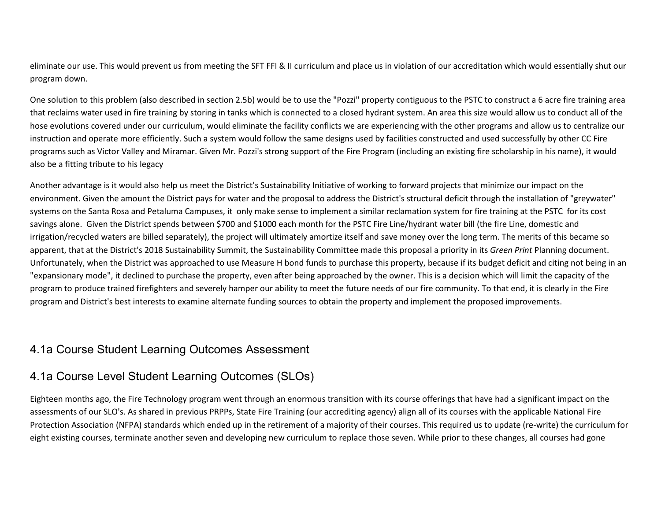eliminate our use. This would prevent us from meeting the SFT FFI & II curriculum and place us in violation of our accreditation which would essentially shut our program down.

One solution to this problem (also described in section 2.5b) would be to use the "Pozzi" property contiguous to the PSTC to construct a 6 acre fire training area that reclaims water used in fire training by storing in tanks which is connected to a closed hydrant system. An area this size would allow us to conduct all of the hose evolutions covered under our curriculum, would eliminate the facility conflicts we are experiencing with the other programs and allow us to centralize our instruction and operate more efficiently. Such a system would follow the same designs used by facilities constructed and used successfully by other CC Fire programs such as Victor Valley and Miramar. Given Mr. Pozzi's strong support of the Fire Program (including an existing fire scholarship in his name), it would also be a fitting tribute to his legacy

Another advantage is it would also help us meet the District's Sustainability Initiative of working to forward projects that minimize our impact on the environment. Given the amount the District pays for water and the proposal to address the District's structural deficit through the installation of "greywater" systems on the Santa Rosa and Petaluma Campuses, it only make sense to implement a similar reclamation system for fire training at the PSTC for its cost savings alone. Given the District spends between \$700 and \$1000 each month for the PSTC Fire Line/hydrant water bill (the fire Line, domestic and irrigation/recycled waters are billed separately), the project will ultimately amortize itself and save money over the long term. The merits of this became so apparent, that at the District's 2018 Sustainability Summit, the Sustainability Committee made this proposal a priority in its *Green Print* Planning document. Unfortunately, when the District was approached to use Measure H bond funds to purchase this property, because if its budget deficit and citing not being in an "expansionary mode", it declined to purchase the property, even after being approached by the owner. This is a decision which will limit the capacity of the program to produce trained firefighters and severely hamper our ability to meet the future needs of our fire community. To that end, it is clearly in the Fire program and District's best interests to examine alternate funding sources to obtain the property and implement the proposed improvements.

## 4.1a Course Student Learning Outcomes Assessment

### 4.1a Course Level Student Learning Outcomes (SLOs)

Eighteen months ago, the Fire Technology program went through an enormous transition with its course offerings that have had a significant impact on the assessments of our SLO's. As shared in previous PRPPs, State Fire Training (our accrediting agency) align all of its courses with the applicable National Fire Protection Association (NFPA) standards which ended up in the retirement of a majority of their courses. This required us to update (re-write) the curriculum for eight existing courses, terminate another seven and developing new curriculum to replace those seven. While prior to these changes, all courses had gone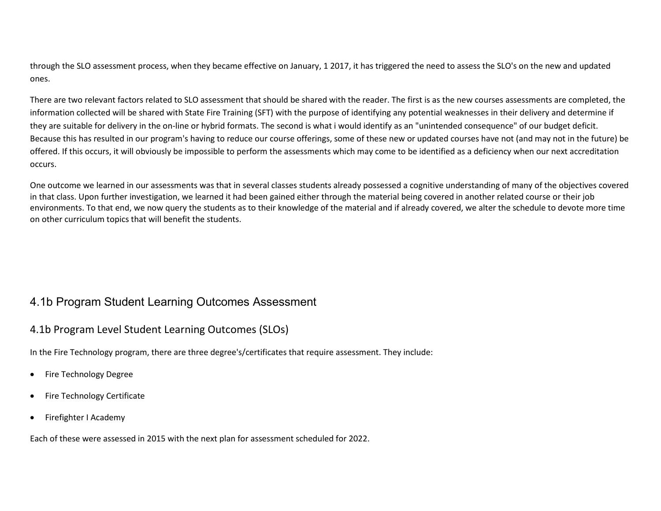through the SLO assessment process, when they became effective on January, 1 2017, it has triggered the need to assess the SLO's on the new and updated ones.

There are two relevant factors related to SLO assessment that should be shared with the reader. The first is as the new courses assessments are completed, the information collected will be shared with State Fire Training (SFT) with the purpose of identifying any potential weaknesses in their delivery and determine if they are suitable for delivery in the on-line or hybrid formats. The second is what i would identify as an "unintended consequence" of our budget deficit. Because this has resulted in our program's having to reduce our course offerings, some of these new or updated courses have not (and may not in the future) be offered. If this occurs, it will obviously be impossible to perform the assessments which may come to be identified as a deficiency when our next accreditation occurs.

One outcome we learned in our assessments was that in several classes students already possessed a cognitive understanding of many of the objectives covered in that class. Upon further investigation, we learned it had been gained either through the material being covered in another related course or their job environments. To that end, we now query the students as to their knowledge of the material and if already covered, we alter the schedule to devote more time on other curriculum topics that will benefit the students.

### 4.1b Program Student Learning Outcomes Assessment

### 4.1b Program Level Student Learning Outcomes (SLOs)

In the Fire Technology program, there are three degree's/certificates that require assessment. They include:

- Fire Technology Degree
- Fire Technology Certificate
- Firefighter I Academy

Each of these were assessed in 2015 with the next plan for assessment scheduled for 2022.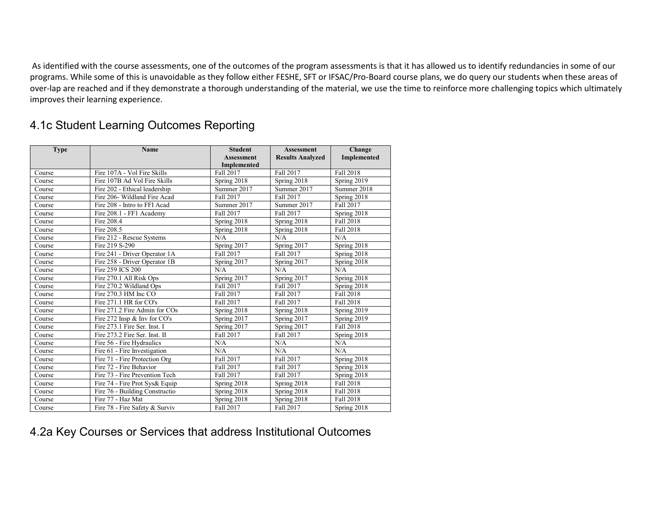As identified with the course assessments, one of the outcomes of the program assessments is that it has allowed us to identify redundancies in some of our programs. While some of this is unavoidable as they follow either FESHE, SFT or IFSAC/Pro-Board course plans, we do query our students when these areas of over-lap are reached and if they demonstrate a thorough understanding of the material, we use the time to reinforce more challenging topics which ultimately improves their learning experience.

## 4.1c Student Learning Outcomes Reporting

| <b>Type</b> | <b>Name</b>                    | <b>Student</b><br><b>Assessment</b> | <b>Assessment</b><br><b>Results Analyzed</b> | Change<br><b>Implemented</b> |
|-------------|--------------------------------|-------------------------------------|----------------------------------------------|------------------------------|
|             | Fire 107A - Vol Fire Skills    | Implemented<br>Fall 2017            | Fall 2017                                    | <b>Fall 2018</b>             |
| Course      |                                |                                     |                                              |                              |
| Course      | Fire 107B Ad Vol Fire Skills   | Spring 2018                         | Spring 2018                                  | Spring 2019                  |
| Course      | Fire 202 - Ethical leadership  | Summer 2017                         | Summer 2017                                  | Summer 2018                  |
| Course      | Fire 206- Wildland Fire Acad   | Fall 2017                           | Fall 2017                                    | Spring 2018                  |
| Course      | Fire 208 - Intro to FFI Acad   | Summer 2017                         | Summer 2017                                  | Fall 2017                    |
| Course      | Fire 208.1 - FF1 Academy       | Fall 2017                           | Fall 2017                                    | Spring 2018                  |
| Course      | Fire 208.4                     | Spring 2018                         | Spring 2018                                  | <b>Fall 2018</b>             |
| Course      | Fire 208.5                     | Spring 2018                         | Spring 2018                                  | Fall 2018                    |
| Course      | Fire 212 - Rescue Systems      | N/A                                 | N/A                                          | N/A                          |
| Course      | Fire 219 S-290                 | Spring 2017                         | Spring 2017                                  | Spring 2018                  |
| Course      | Fire 241 - Driver Operator 1A  | <b>Fall 2017</b>                    | Fall 2017                                    | Spring 2018                  |
| Course      | Fire 258 - Driver Operator 1B  | Spring 2017                         | Spring 2017                                  | Spring 2018                  |
| Course      | Fire 259 ICS 200               | N/A                                 | N/A                                          | N/A                          |
| Course      | Fire 270.1 All Risk Ops        | Spring 2017                         | Spring 2017                                  | Spring 2018                  |
| Course      | Fire 270.2 Wildland Ops        | Fall 2017                           | Fall 2017                                    | Spring 2018                  |
| Course      | Fire 270.3 HM Inc CO           | Fall 2017                           | Fall 2017                                    | Fall 2018                    |
| Course      | Fire 271.1 HR for CO's         | Fall 2017                           | Fall 2017                                    | Fall 2018                    |
| Course      | Fire 271.2 Fire Admin for COs  | Spring 2018                         | Spring 2018                                  | Spring 2019                  |
| Course      | Fire 272 Insp & Inv for CO's   | Spring 2017                         | Spring 2017                                  | Spring 2019                  |
| Course      | Fire 273.1 Fire Ser. Inst. I   | Spring 2017                         | Spring 2017                                  | Fall 2018                    |
| Course      | Fire 273.2 Fire Ser. Inst. II  | Fall 2017                           | Fall 2017                                    | Spring 2018                  |
| Course      | Fire 56 - Fire Hydraulics      | N/A                                 | N/A                                          | N/A                          |
| Course      | Fire 61 - Fire Investigation   | N/A                                 | N/A                                          | N/A                          |
| Course      | Fire 71 - Fire Protection Org  | Fall 2017                           | Fall 2017                                    | Spring 2018                  |
| Course      | Fire 72 - Fire Behavior        | Fall 2017                           | Fall 2017                                    | Spring 2018                  |
| Course      | Fire 73 - Fire Prevention Tech | Fall 2017                           | Fall 2017                                    | Spring 2018                  |
| Course      | Fire 74 - Fire Prot Sys& Equip | Spring 2018                         | Spring 2018                                  | Fall 2018                    |
| Course      | Fire 76 - Building Constructio | Spring 2018                         | Spring 2018                                  | Fall 2018                    |
| Course      | Fire 77 - Haz Mat              | Spring 2018                         | Spring 2018                                  | Fall 2018                    |
| Course      | Fire 78 - Fire Safety & Surviv | Fall 2017                           | Fall 2017                                    | Spring 2018                  |

## 4.2a Key Courses or Services that address Institutional Outcomes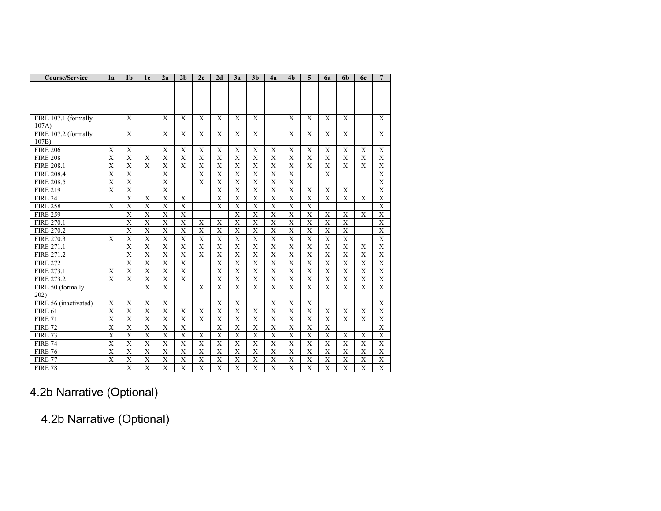| <b>Course/Service</b> | 1a                        | 1 <sub>b</sub>          | 1 <sub>c</sub>          | 2a                      | 2 <sub>b</sub>          | 2c                      | 2d                      | 3a                      | 3 <sub>b</sub>          | 4a                      | 4 <sub>b</sub>          | 5                       | 6a                      | 6 <sub>b</sub>          | <b>6c</b>               | $\overline{7}$            |
|-----------------------|---------------------------|-------------------------|-------------------------|-------------------------|-------------------------|-------------------------|-------------------------|-------------------------|-------------------------|-------------------------|-------------------------|-------------------------|-------------------------|-------------------------|-------------------------|---------------------------|
|                       |                           |                         |                         |                         |                         |                         |                         |                         |                         |                         |                         |                         |                         |                         |                         |                           |
|                       |                           |                         |                         |                         |                         |                         |                         |                         |                         |                         |                         |                         |                         |                         |                         |                           |
|                       |                           |                         |                         |                         |                         |                         |                         |                         |                         |                         |                         |                         |                         |                         |                         |                           |
|                       |                           |                         |                         |                         |                         |                         |                         |                         |                         |                         |                         |                         |                         |                         |                         |                           |
| FIRE 107.1 (formally  |                           | X                       |                         | X                       | X                       | X                       | X                       | X                       | X                       |                         | X                       | X                       | X                       | X                       |                         | X                         |
| 107A)                 |                           |                         |                         |                         |                         |                         |                         |                         |                         |                         |                         |                         |                         |                         |                         |                           |
| FIRE 107.2 (formally  |                           | $\mathbf X$             |                         | $\mathbf{X}$            | $\mathbf x$             | X                       | $\mathbf{X}$            | $\mathbf{X}$            | $\mathbf{X}$            |                         | $\mathbf{X}$            | $\mathbf{X}$            | X                       | $\mathbf{X}$            |                         | X                         |
| 107B)                 |                           |                         |                         |                         |                         |                         |                         |                         |                         |                         |                         |                         |                         |                         |                         |                           |
| <b>FIRE 206</b>       | X                         | $\overline{X}$          |                         | $\mathbf X$             | $\mathbf X$             | $\mathbf X$             | $\mathbf X$             | $\mathbf X$             | $\overline{\mathrm{X}}$ | $\mathbf X$             | X                       | $\mathbf X$             | $\mathbf X$             | $\mathbf X$             | $\mathbf X$             | $\overline{X}$            |
| <b>FIRE 208</b>       | $\overline{\text{X}}$     | $\overline{X}$          | $\mathbf X$             | $\overline{\mathrm{X}}$ | $\overline{\mathrm{X}}$ | X                       | $\overline{X}$          | $\overline{X}$          | $\overline{\mathrm{X}}$ | $\overline{\mathrm{X}}$ | $\overline{X}$          | $\overline{\mathbf{X}}$ | $\overline{\mathbf{X}}$ | $\overline{\mathbf{X}}$ | $\overline{X}$          | $\overline{X}$            |
| <b>FIRE 208.1</b>     | $\mathbf X$               | $\mathbf X$             | $\mathbf X$             | $\mathbf X$             | X                       | $\mathbf X$             | $\mathbf X$             | $\mathbf X$             | $\mathbf X$             | $\mathbf X$             | $\mathbf X$             | X                       | $\mathbf X$             | X                       | X                       | $\mathbf X$               |
| <b>FIRE 208.4</b>     | X                         | $\overline{X}$          |                         | $\mathbf X$             |                         | X                       | $\mathbf X$             | $\mathbf X$             | X                       | X                       | $\mathbf X$             |                         | X                       |                         |                         | $\overline{X}$            |
| <b>FIRE 208.5</b>     | $\overline{\mathrm{X}}$   | $\overline{X}$          |                         | $\overline{\mathrm{X}}$ |                         | $\overline{\mathbf{X}}$ | $\overline{\mathrm{X}}$ | $\overline{\mathbf{X}}$ | $\overline{\mathrm{X}}$ | $\overline{\mathbf{X}}$ | $\overline{\mathbf{X}}$ |                         |                         |                         |                         | $\overline{\mathbf{X}}$   |
| <b>FIRE 219</b>       | $\overline{\mathrm{X}}$   | $\overline{X}$          |                         | $\overline{X}$          |                         |                         | $\overline{\mathrm{X}}$ | $\overline{\mathbf{X}}$ | $\overline{\mathrm{X}}$ | $\overline{\mathbf{X}}$ | $\overline{X}$          | X                       | X                       | $\mathbf X$             |                         | $\overline{X}$            |
| <b>FIRE 241</b>       |                           | $\overline{X}$          | X                       | $\overline{\mathrm{X}}$ | X                       |                         | $\overline{\mathrm{X}}$ | $\overline{\mathbf{X}}$ | $\overline{\mathrm{X}}$ | $\overline{\mathbf{X}}$ | $\overline{X}$          | $\overline{\mathbf{x}}$ | $\mathbf{X}$            | $\overline{\mathbf{X}}$ | $\mathbf{X}$            | $\overline{X}$            |
| <b>FIRE 258</b>       | X                         | $\overline{X}$          | X                       | $\overline{\mathrm{X}}$ | $\overline{\mathbf{X}}$ |                         | $\overline{\mathrm{X}}$ | $\overline{\mathbf{X}}$ | $\overline{\mathrm{X}}$ | $\overline{\mathbf{X}}$ | $\overline{\mathbf{X}}$ | $\overline{X}$          |                         |                         |                         | $\overline{X}$            |
| <b>FIRE 259</b>       |                           | $\overline{\text{X}}$   | X                       | $\overline{\mathrm{X}}$ | $\overline{\mathrm{X}}$ |                         |                         | $\overline{\mathbf{X}}$ | X                       | $\overline{\text{X}}$   | $\overline{\mathbf{X}}$ | X                       | X                       | X                       | X                       | X                         |
| <b>FIRE 270.1</b>     |                           | $\mathbf X$             | X                       | $\mathbf X$             | X                       | X                       | X                       | $\mathbf X$             | X                       | X                       | $\mathbf X$             | X                       | $\mathbf X$             | $\mathbf X$             |                         | $\mathbf X$               |
| <b>FIRE 270.2</b>     |                           | $\overline{\mathrm{X}}$ | X                       | X                       | X                       | X                       | X                       | X                       | X                       | X                       | X                       | X                       | X                       | $\overline{\mathrm{X}}$ |                         | X                         |
| <b>FIRE 270.3</b>     | X                         | X                       | X                       | X                       | X                       | X                       | X                       | X                       | X                       | X                       | X                       | X                       | X                       | X                       |                         | $\mathbf X$               |
| FIRE 271.1            |                           | $\overline{X}$          | X                       | $\overline{\mathrm{X}}$ | $\overline{\mathrm{X}}$ | X                       | $\overline{\mathrm{X}}$ | $\overline{\mathbf{X}}$ | $\overline{\mathrm{X}}$ | $\overline{\text{X}}$   | $\overline{X}$          | $\overline{\mathrm{X}}$ | X                       | $\overline{\mathrm{X}}$ | X                       | $\overline{X}$            |
| FIRE 271.2            |                           | $\overline{\mathrm{X}}$ | $\overline{\mathbf{X}}$ | $\overline{\mathrm{X}}$ | $\overline{\mathbf{x}}$ | $\mathbf{X}$            | $\overline{\mathrm{X}}$ | $\overline{\mathbf{X}}$ | $\overline{X}$          | $\overline{X}$          | $\overline{\mathbf{X}}$ | $\overline{\mathbf{x}}$ | X                       | $\overline{\mathrm{X}}$ | $\overline{X}$          | $\overline{X}$            |
| <b>FIRE 272</b>       |                           | $\overline{X}$          | $\overline{\mathbf{X}}$ | $\overline{\mathrm{X}}$ | $\overline{\mathrm{X}}$ |                         | $\overline{\mathrm{X}}$ | $\overline{\mathbf{X}}$ | $\overline{\mathrm{X}}$ | $\overline{\mathrm{X}}$ | $\overline{\mathbf{X}}$ | $\overline{\mathbf{X}}$ | $\overline{\mathbf{X}}$ | $\overline{X}$          | $\overline{X}$          | $\overline{\mathbf{X}}$   |
| FIRE 273.1            | X                         | $\mathbf X$             | X                       | $\mathbf X$             | X                       |                         | $\mathbf X$             | X                       | X                       | X                       | X                       | X                       | X                       | X                       | X                       | $\boldsymbol{\mathrm{X}}$ |
| FIRE 273.2            | X                         | $\mathbf X$             | $\overline{X}$          | $\overline{\textbf{X}}$ | X                       |                         | X                       | $\overline{X}$          | $\mathbf X$             | $\overline{X}$          | $\overline{\textbf{X}}$ | $\mathbf X$             | $\mathbf X$             | $\mathbf X$             | $\mathbf X$             | $\overline{X}$            |
| FIRE 50 (formally     |                           |                         | $\overline{\mathbf{X}}$ | $\overline{X}$          |                         | X                       | $\mathbf{X}$            | $\overline{\mathbf{X}}$ | $\overline{\mathrm{X}}$ | $\overline{\mathbf{X}}$ | $\overline{X}$          | $\overline{X}$          | $\overline{X}$          | $\overline{\mathrm{X}}$ | $\overline{X}$          | $\overline{\mathbf{X}}$   |
| 202)                  |                           |                         |                         |                         |                         |                         |                         |                         |                         |                         |                         |                         |                         |                         |                         |                           |
| FIRE 56 (inactivated) | X                         | X                       | X                       | X                       |                         |                         | $\mathbf{X}$            | X                       |                         | $\overline{\mathbf{X}}$ | X                       | X                       |                         |                         |                         | $\overline{X}$            |
| <b>FIRE 61</b>        | $\overline{\mathrm{X}}$   | $\overline{X}$          | $\overline{\mathbf{X}}$ | $\overline{X}$          | $\overline{\mathbf{X}}$ | $\overline{\mathbf{X}}$ | $\overline{\mathrm{X}}$ | $\overline{\mathbf{X}}$ | $\overline{\mathrm{X}}$ | $\overline{\mathrm{X}}$ | $\overline{X}$          | $\overline{X}$          | $\overline{X}$          | $\overline{\mathrm{X}}$ | $\overline{X}$          | $\overline{X}$            |
| <b>FIRE 71</b>        | $\boldsymbol{\mathrm{X}}$ | $\mathbf X$             | X                       | $\mathbf X$             | X                       | X                       | $\mathbf X$             | $\mathbf X$             | $\mathbf X$             | $\mathbf X$             | $\mathbf X$             | X                       | $\mathbf X$             | $\mathbf X$             | X                       | $\mathbf X$               |
| <b>FIRE 72</b>        | $\overline{X}$            | $\overline{X}$          | $\overline{\mathbf{X}}$ | $\overline{X}$          | $\overline{\mathbf{x}}$ |                         | $\overline{X}$          | $\overline{X}$          | $\overline{X}$          | $\overline{X}$          | $\overline{X}$          | $\overline{X}$          | $\overline{X}$          |                         |                         | $\overline{X}$            |
| <b>FIRE 73</b>        | $\overline{\mathbf{X}}$   | $\overline{X}$          | $\overline{\mathbf{X}}$ | $\overline{X}$          | $\overline{\mathbf{X}}$ | $\overline{\mathbf{X}}$ | $\overline{X}$          | $\overline{\mathbf{X}}$ | $\overline{\mathrm{X}}$ | $\overline{X}$          | $\overline{X}$          | $\overline{\mathbf{X}}$ | $\overline{\mathbf{X}}$ | $\overline{X}$          | $\overline{X}$          | $\overline{X}$            |
| <b>FIRE 74</b>        | $\overline{\mathrm{X}}$   | $\overline{X}$          | $\overline{\mathrm{X}}$ | $\overline{X}$          | $\overline{\mathbf{X}}$ | $\overline{\mathbf{X}}$ | $\overline{\mathrm{X}}$ | $\overline{X}$          | $\overline{X}$          | $\overline{X}$          | $\overline{X}$          | $\overline{\mathbf{X}}$ | $\overline{\mathbf{X}}$ | $\overline{X}$          | $\overline{X}$          | $\overline{X}$            |
| <b>FIRE 76</b>        | $\overline{\mathbf{X}}$   | $\overline{X}$          | $\overline{\mathbf{X}}$ | $\overline{X}$          | $\overline{X}$          | $\overline{\mathbf{X}}$ | $\overline{X}$          | $\overline{X}$          | $\overline{\mathrm{X}}$ | $\overline{X}$          | $\overline{X}$          | $\overline{X}$          | $\overline{\mathbf{X}}$ | $\overline{X}$          | $\overline{X}$          | $\overline{X}$            |
| <b>FIRE 77</b>        | X                         | $\overline{X}$          | X                       | X                       | $\overline{X}$          | X                       | $\overline{\mathrm{X}}$ | $\overline{\mathbf{X}}$ | $\overline{X}$          | $\overline{X}$          | $\overline{\mathbf{X}}$ | $\overline{X}$          | X                       | $\overline{X}$          | $\overline{\mathbf{X}}$ | X                         |
| <b>FIRE 78</b>        |                           | $\overline{\mathrm{X}}$ | $\overline{\mathrm{X}}$ | $\overline{\mathrm{X}}$ | $\overline{\mathrm{X}}$ | $\overline{\mathrm{X}}$ | $\overline{\mathrm{X}}$ | $\overline{\mathrm{X}}$ | $\overline{X}$          | $\overline{X}$          | $\overline{\mathrm{X}}$ | $\overline{X}$          | $\overline{\mathbf{X}}$ | $\overline{X}$          | $\overline{X}$          | $\overline{\mathrm{X}}$   |

# 4.2b Narrative (Optional)

4.2b Narrative (Optional)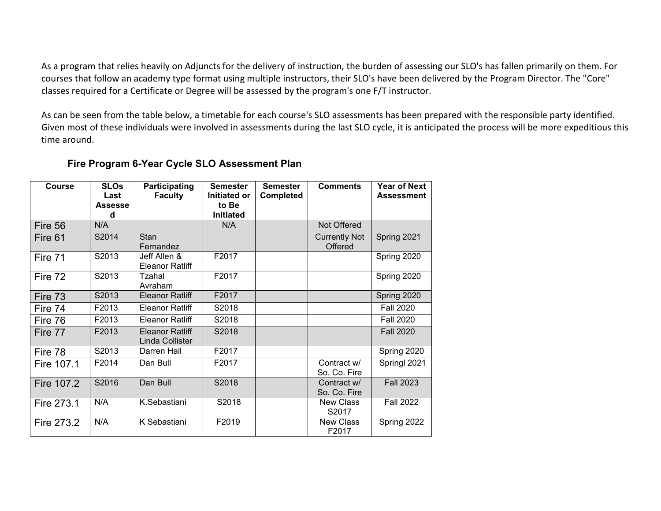As a program that relies heavily on Adjuncts for the delivery of instruction, the burden of assessing our SLO's has fallen primarily on them. For courses that follow an academy type format using multiple instructors, their SLO's have been delivered by the Program Director. The "Core" classes required for a Certificate or Degree will be assessed by the program's one F/T instructor.

As can be seen from the table below, a timetable for each course's SLO assessments has been prepared with the responsible party identified. Given most of these individuals were involved in assessments during the last SLO cycle, it is anticipated the process will be more expeditious this time around.

#### **Fire Program 6-Year Cycle SLO Assessment Plan**

| <b>Course</b> | <b>SLOs</b><br>Last<br><b>Assesse</b><br>d | Participating<br><b>Faculty</b>           | <b>Semester</b><br>Initiated or<br>to Be<br><b>Initiated</b> | <b>Semester</b><br><b>Completed</b> | <b>Comments</b>                 | <b>Year of Next</b><br><b>Assessment</b> |
|---------------|--------------------------------------------|-------------------------------------------|--------------------------------------------------------------|-------------------------------------|---------------------------------|------------------------------------------|
| Fire 56       | N/A                                        |                                           | N/A                                                          |                                     | Not Offered                     |                                          |
| Fire 61       | S2014                                      | Stan<br>Fernandez                         |                                                              |                                     | <b>Currently Not</b><br>Offered | Spring 2021                              |
| Fire 71       | S2013                                      | Jeff Allen &<br><b>Eleanor Ratliff</b>    | F2017                                                        |                                     |                                 | Spring 2020                              |
| Fire 72       | S2013                                      | Tzahal<br>Avraham                         | F2017                                                        |                                     |                                 | Spring 2020                              |
| Fire 73       | S2013                                      | <b>Eleanor Ratliff</b>                    | F2017                                                        |                                     |                                 | Spring 2020                              |
| Fire 74       | F2013                                      | <b>Eleanor Ratliff</b>                    | S2018                                                        |                                     |                                 | <b>Fall 2020</b>                         |
| Fire 76       | F2013                                      | <b>Eleanor Ratliff</b>                    | S2018                                                        |                                     |                                 | <b>Fall 2020</b>                         |
| Fire 77       | F2013                                      | <b>Eleanor Ratliff</b><br>Linda Collister | S2018                                                        |                                     |                                 | <b>Fall 2020</b>                         |
| Fire 78       | S2013                                      | Darren Hall                               | F2017                                                        |                                     |                                 | Spring 2020                              |
| Fire 107.1    | F2014                                      | Dan Bull                                  | F2017                                                        |                                     | Contract w/<br>So. Co. Fire     | Springl 2021                             |
| Fire 107.2    | S2016                                      | Dan Bull                                  | S2018                                                        |                                     | Contract w/<br>So. Co. Fire     | <b>Fall 2023</b>                         |
| Fire 273.1    | N/A                                        | K.Sebastiani                              | S2018                                                        |                                     | <b>New Class</b><br>S2017       | <b>Fall 2022</b>                         |
| Fire 273.2    | N/A                                        | K Sebastiani                              | F2019                                                        |                                     | <b>New Class</b><br>F2017       | Spring 2022                              |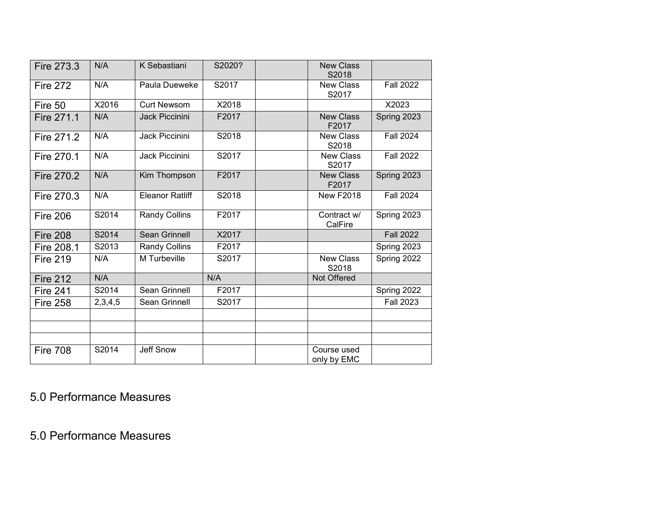| Fire 273.3      | N/A     | K Sebastiani           | S2020? | <b>New Class</b><br>S2018                     |
|-----------------|---------|------------------------|--------|-----------------------------------------------|
| <b>Fire 272</b> | N/A     | Paula Dueweke          | S2017  | <b>New Class</b><br><b>Fall 2022</b><br>S2017 |
| Fire 50         | X2016   | <b>Curt Newsom</b>     | X2018  | X2023                                         |
| Fire 271.1      | N/A     | <b>Jack Piccinini</b>  | F2017  | <b>New Class</b><br>Spring 2023<br>F2017      |
| Fire 271.2      | N/A     | Jack Piccinini         | S2018  | <b>Fall 2024</b><br><b>New Class</b><br>S2018 |
| Fire 270.1      | N/A     | Jack Piccinini         | S2017  | <b>Fall 2022</b><br><b>New Class</b><br>S2017 |
| Fire 270.2      | N/A     | Kim Thompson           | F2017  | Spring 2023<br><b>New Class</b><br>F2017      |
| Fire 270.3      | N/A     | <b>Eleanor Ratliff</b> | S2018  | <b>Fall 2024</b><br><b>New F2018</b>          |
| <b>Fire 206</b> | S2014   | Randy Collins          | F2017  | Contract w/<br>Spring 2023<br>CalFire         |
| <b>Fire 208</b> | S2014   | <b>Sean Grinnell</b>   | X2017  | <b>Fall 2022</b>                              |
| Fire 208.1      | S2013   | Randy Collins          | F2017  | Spring 2023                                   |
| <b>Fire 219</b> | N/A     | M Turbeville           | S2017  | <b>New Class</b><br>Spring 2022<br>S2018      |
| <b>Fire 212</b> | N/A     |                        | N/A    | Not Offered                                   |
| <b>Fire 241</b> | S2014   | Sean Grinnell          | F2017  | Spring 2022                                   |
| <b>Fire 258</b> | 2,3,4,5 | Sean Grinnell          | S2017  | <b>Fall 2023</b>                              |
|                 |         |                        |        |                                               |
|                 |         |                        |        |                                               |
| <b>Fire 708</b> | S2014   | Jeff Snow              |        | Course used<br>only by EMC                    |

5.0 Performance Measures

5.0 Performance Measures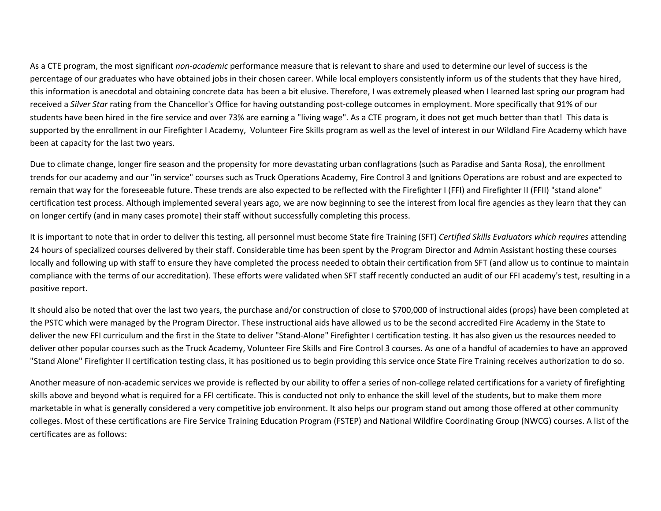As a CTE program, the most significant *non-academic* performance measure that is relevant to share and used to determine our level of success is the percentage of our graduates who have obtained jobs in their chosen career. While local employers consistently inform us of the students that they have hired, this information is anecdotal and obtaining concrete data has been a bit elusive. Therefore, I was extremely pleased when I learned last spring our program had received a *Silver Star* rating from the Chancellor's Office for having outstanding post-college outcomes in employment. More specifically that 91% of our students have been hired in the fire service and over 73% are earning a "living wage". As a CTE program, it does not get much better than that! This data is supported by the enrollment in our Firefighter I Academy, Volunteer Fire Skills program as well as the level of interest in our Wildland Fire Academy which have been at capacity for the last two years.

Due to climate change, longer fire season and the propensity for more devastating urban conflagrations (such as Paradise and Santa Rosa), the enrollment trends for our academy and our "in service" courses such as Truck Operations Academy, Fire Control 3 and Ignitions Operations are robust and are expected to remain that way for the foreseeable future. These trends are also expected to be reflected with the Firefighter I (FFI) and Firefighter II (FFII) "stand alone" certification test process. Although implemented several years ago, we are now beginning to see the interest from local fire agencies as they learn that they can on longer certify (and in many cases promote) their staff without successfully completing this process.

It is important to note that in order to deliver this testing, all personnel must become State fire Training (SFT) *Certified Skills Evaluators which requires* attending 24 hours of specialized courses delivered by their staff. Considerable time has been spent by the Program Director and Admin Assistant hosting these courses locally and following up with staff to ensure they have completed the process needed to obtain their certification from SFT (and allow us to continue to maintain compliance with the terms of our accreditation). These efforts were validated when SFT staff recently conducted an audit of our FFI academy's test, resulting in a positive report.

It should also be noted that over the last two years, the purchase and/or construction of close to \$700,000 of instructional aides (props) have been completed at the PSTC which were managed by the Program Director. These instructional aids have allowed us to be the second accredited Fire Academy in the State to deliver the new FFI curriculum and the first in the State to deliver "Stand-Alone" Firefighter I certification testing. It has also given us the resources needed to deliver other popular courses such as the Truck Academy, Volunteer Fire Skills and Fire Control 3 courses. As one of a handful of academies to have an approved "Stand Alone" Firefighter II certification testing class, it has positioned us to begin providing this service once State Fire Training receives authorization to do so.

Another measure of non-academic services we provide is reflected by our ability to offer a series of non-college related certifications for a variety of firefighting skills above and beyond what is required for a FFI certificate. This is conducted not only to enhance the skill level of the students, but to make them more marketable in what is generally considered a very competitive job environment. It also helps our program stand out among those offered at other community colleges. Most of these certifications are Fire Service Training Education Program (FSTEP) and National Wildfire Coordinating Group (NWCG) courses. A list of the certificates are as follows: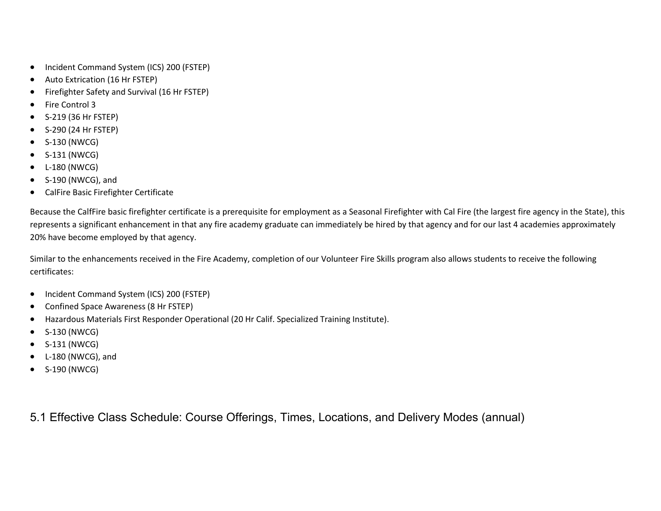- Incident Command System (ICS) 200 (FSTEP)
- Auto Extrication (16 Hr FSTEP)
- Firefighter Safety and Survival (16 Hr FSTEP)
- Fire Control 3
- S-219 (36 Hr FSTEP)
- S-290 (24 Hr FSTEP)
- S-130 (NWCG)
- S-131 (NWCG)
- L-180 (NWCG)
- S-190 (NWCG), and
- CalFire Basic Firefighter Certificate

Because the CalfFire basic firefighter certificate is a prerequisite for employment as a Seasonal Firefighter with Cal Fire (the largest fire agency in the State), this represents a significant enhancement in that any fire academy graduate can immediately be hired by that agency and for our last 4 academies approximately 20% have become employed by that agency.

Similar to the enhancements received in the Fire Academy, completion of our Volunteer Fire Skills program also allows students to receive the following certificates:

- Incident Command System (ICS) 200 (FSTEP)
- Confined Space Awareness (8 Hr FSTEP)
- Hazardous Materials First Responder Operational (20 Hr Calif. Specialized Training Institute).
- S-130 (NWCG)
- S-131 (NWCG)
- L-180 (NWCG), and
- S-190 (NWCG)

5.1 Effective Class Schedule: Course Offerings, Times, Locations, and Delivery Modes (annual)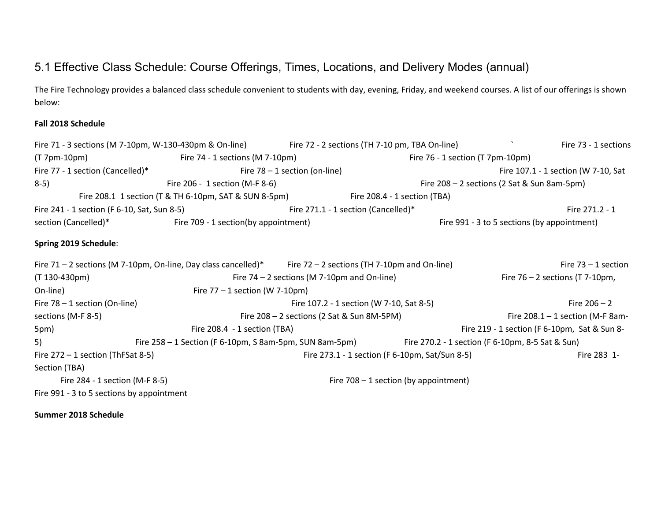## 5.1 Effective Class Schedule: Course Offerings, Times, Locations, and Delivery Modes (annual)

The Fire Technology provides a balanced class schedule convenient to students with day, evening, Friday, and weekend courses. A list of our offerings is shown below:

#### **Fall 2018 Schedule**

|                                             | Fire 71 - 3 sections (M 7-10pm, W-130-430pm & On-line) Fire 72 - 2 sections (TH 7-10 pm, TBA On-line)           |                                               |                                                | Fire 73 - 1 sections                             |
|---------------------------------------------|-----------------------------------------------------------------------------------------------------------------|-----------------------------------------------|------------------------------------------------|--------------------------------------------------|
| $(T 7pm-10pm)$                              | Fire $74 - 1$ sections (M $7-10$ pm)                                                                            |                                               |                                                | Fire 76 - 1 section (T 7pm-10pm)                 |
| Fire 77 - 1 section (Cancelled)*            |                                                                                                                 | Fire $78 - 1$ section (on-line)               |                                                | Fire 107.1 - 1 section (W 7-10, Sat              |
| $8-5)$                                      | Fire 206 - 1 section (M-F 8-6)                                                                                  |                                               |                                                | Fire 208 - 2 sections (2 Sat & Sun 8am-5pm)      |
|                                             | Fire 208.1 1 section (T & TH 6-10pm, SAT & SUN 8-5pm) Fire 208.4 - 1 section (TBA)                              |                                               |                                                |                                                  |
| Fire 241 - 1 section (F 6-10, Sat, Sun 8-5) |                                                                                                                 |                                               | Fire 271.1 - 1 section (Cancelled)*            | Fire 271.2 - 1                                   |
|                                             | section (Cancelled)* Fire 709 - 1 section(by appointment)                                                       |                                               |                                                | Fire 991 - 3 to 5 sections (by appointment)      |
| Spring 2019 Schedule:                       |                                                                                                                 |                                               |                                                |                                                  |
|                                             | Fire $71 - 2$ sections (M 7-10pm, On-line, Day class cancelled)* Fire $72 - 2$ sections (TH 7-10pm and On-line) |                                               |                                                | Fire $73 - 1$ section                            |
| $(T 130 - 430pm)$                           |                                                                                                                 | Fire $74 - 2$ sections (M 7-10pm and On-line) |                                                | Fire $76 - 2$ sections (T 7-10pm,                |
| On-line)                                    | Fire $77 - 1$ section (W 7-10pm)                                                                                |                                               |                                                |                                                  |
| Fire $78 - 1$ section (On-line)             |                                                                                                                 |                                               | Fire 107.2 - 1 section (W 7-10, Sat 8-5)       | Fire $206 - 2$                                   |
| sections (M-F 8-5)                          |                                                                                                                 | Fire $208 - 2$ sections (2 Sat & Sun 8M-5PM)  |                                                | Fire $208.1 - 1$ section (M-F 8am-               |
| 5pm)                                        | Fire 208.4 - 1 section (TBA)                                                                                    |                                               |                                                | Fire 219 - 1 section (F 6-10pm, Sat & Sun 8-     |
| 5)                                          | Fire 258 - 1 Section (F 6-10pm, S 8am-5pm, SUN 8am-5pm)                                                         |                                               |                                                | Fire 270.2 - 1 section (F 6-10pm, 8-5 Sat & Sun) |
| Fire $272 - 1$ section (ThFSat 8-5)         |                                                                                                                 |                                               | Fire 273.1 - 1 section (F 6-10pm, Sat/Sun 8-5) | Fire 283 1-                                      |
| Section (TBA)                               |                                                                                                                 |                                               |                                                |                                                  |
| Fire 284 - 1 section (M-F 8-5)              |                                                                                                                 |                                               | Fire $708 - 1$ section (by appointment)        |                                                  |
| Fire 991 - 3 to 5 sections by appointment   |                                                                                                                 |                                               |                                                |                                                  |

**Summer 2018 Schedule**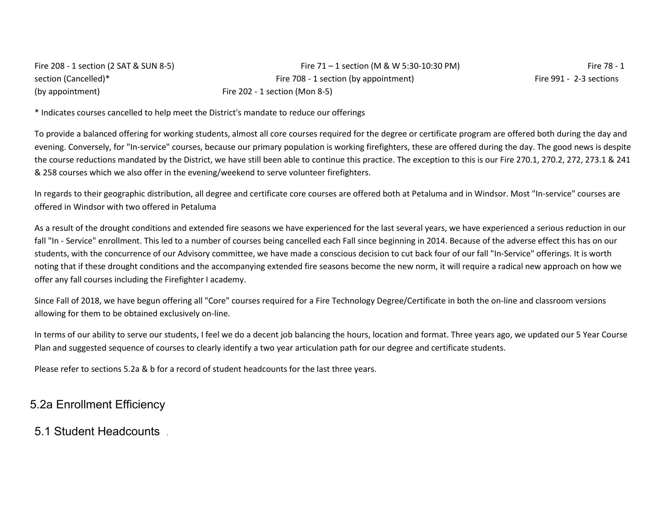| Fire 208 - 1 section (2 SAT & SUN 8-5) | Fire $71 - 1$ section (M & W 5:30-10:30 PM) | Fire 78 - 1             |
|----------------------------------------|---------------------------------------------|-------------------------|
| section (Cancelled)*                   | Fire 708 - 1 section (by appointment)       | Fire 991 - 2-3 sections |
| (by appointment)                       | Fire $202 - 1$ section (Mon 8-5)            |                         |

\* Indicates courses cancelled to help meet the District's mandate to reduce our offerings

To provide a balanced offering for working students, almost all core courses required for the degree or certificate program are offered both during the day and evening. Conversely, for "In-service" courses, because our primary population is working firefighters, these are offered during the day. The good news is despite the course reductions mandated by the District, we have still been able to continue this practice. The exception to this is our Fire 270.1, 270.2, 272, 273.1 & 241 & 258 courses which we also offer in the evening/weekend to serve volunteer firefighters.

In regards to their geographic distribution, all degree and certificate core courses are offered both at Petaluma and in Windsor. Most "In-service" courses are offered in Windsor with two offered in Petaluma

As a result of the drought conditions and extended fire seasons we have experienced for the last several years, we have experienced a serious reduction in our fall "In - Service" enrollment. This led to a number of courses being cancelled each Fall since beginning in 2014. Because of the adverse effect this has on our students, with the concurrence of our Advisory committee, we have made a conscious decision to cut back four of our fall "In-Service" offerings. It is worth noting that if these drought conditions and the accompanying extended fire seasons become the new norm, it will require a radical new approach on how we offer any fall courses including the Firefighter I academy.

Since Fall of 2018, we have begun offering all "Core" courses required for a Fire Technology Degree/Certificate in both the on-line and classroom versions allowing for them to be obtained exclusively on-line.

In terms of our ability to serve our students, I feel we do a decent job balancing the hours, location and format. Three years ago, we updated our 5 Year Course Plan and suggested sequence of courses to clearly identify a two year articulation path for our degree and certificate students.

Please refer to sections 5.2a & b for a record of student headcounts for the last three years.

### 5.2a Enrollment Efficiency

### 5.1 Student Headcounts .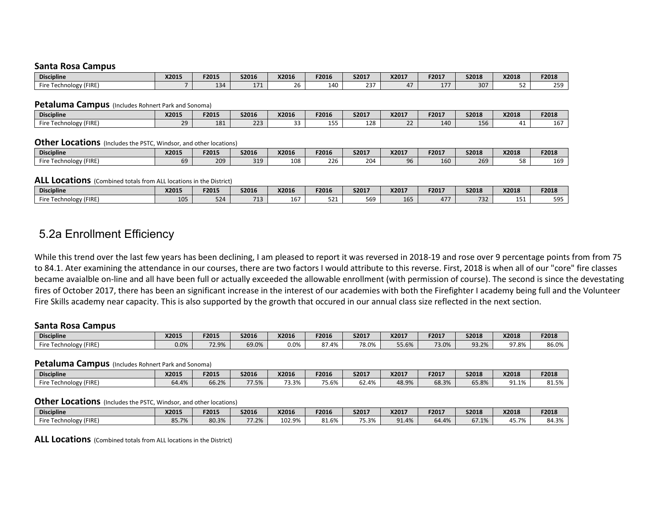#### **Santa Rosa Campus**

| <b>Discipline</b>                       | X2015 | F2015 | S2016                    | X2016 | F2016 | S2017                       | X2017 | F201 <sup>-</sup> | S2018 | X2018     | F2018 |
|-----------------------------------------|-------|-------|--------------------------|-------|-------|-----------------------------|-------|-------------------|-------|-----------|-------|
| $I = I \cap F$<br>Fire<br>nology (FIRE) |       | 134   | $\overline{\phantom{a}}$ | . .   | 14C   | $\sim$ $\sim$ $\sim$<br>25. |       | $- -$<br>T V      | 307   | $-1$<br>ັ | つちロ   |

#### **Petaluma Campus** (Includes Rohnert Park and Sonoma)

| <b>Discipline</b>                              | X2015 | F2015 | S2016 | X2016        | F2016          | S2017 | X2017        | F2017 | S2018                  | X2018 | F2018             |
|------------------------------------------------|-------|-------|-------|--------------|----------------|-------|--------------|-------|------------------------|-------|-------------------|
| (FIRE<br>ïre<br>ົງໄ0gy (r.<br>.00 <sup>F</sup> | າດ    | 181   | 223   | $\sim$<br>ັບ | $1 - 1$<br>ros | 128   | $\sim$<br>-- | 140   | $\overline{ }$<br>156. |       | $\sim$ $-$<br>ιo. |

#### **Other Locations** (Includes the PSTC, Windsor, and other locations)

| <b>Discipline</b>                     | <b>X2015</b> | F2015 | S2016 | X2016 | F2016 | S2017 | X2017 | F2017 | <b>S2018</b> | X2018     | F2018 |
|---------------------------------------|--------------|-------|-------|-------|-------|-------|-------|-------|--------------|-----------|-------|
| (FIRE<br>ire<br>nology,<br>ົດດະ<br>ᄄᇅ | 69           | 209   | 319   | 108   | 226   | 204   | 96    | 160   | 269          | r o<br>JU | 169   |

#### **ALL Locations** (Combined totals from ALL locations in the District)

| <b>Discipline</b>                                   | X2015 | F2015     | S2016           | X2016      | F2016 | S2017             | X2017 | F2017       | <b>S2018</b>       | X2018                               | F2018             |
|-----------------------------------------------------|-------|-----------|-----------------|------------|-------|-------------------|-------|-------------|--------------------|-------------------------------------|-------------------|
| --<br>$\sqrt{2}$<br><b>Technology (FIRE</b><br>-ire | 105   | 524<br>-- | 71 <sup>2</sup> | . .<br>16. | 521   | 560<br><u>JU-</u> | 165   | 17<br>T / / | $\sim$ $\sim$<br>. | $\overline{\phantom{a}}$<br><b></b> | $F \cap F$<br>כצכ |

### 5.2a Enrollment Efficiency

While this trend over the last few years has been declining, I am pleased to report it was reversed in 2018-19 and rose over 9 percentage points from from 75 to 84.1. Ater examining the attendance in our courses, there are two factors I would attribute to this reverse. First, 2018 is when all of our "core" fire classes became avaialble on-line and all have been full or actually exceeded the allowable enrollment (with permission of course). The second is since the devestating fires of October 2017, there has been an significant increase in the interest of our academies with both the Firefighter I academy being full and the Volunteer Fire Skills academy near capacity. This is also supported by the growth that occured in our annual class size reflected in the next section.

#### **Santa Rosa Campus**

| <b>Discipline</b>                    | <b>X2015</b> | F2015 | S2016 | X2016   | F2016    | S2017 | X2017 | F2017 | <b>S2018</b> | X2018 | F2018                               |
|--------------------------------------|--------------|-------|-------|---------|----------|-------|-------|-------|--------------|-------|-------------------------------------|
| <b>v</b> (FIRE<br>Fire<br>Technology | 0.0%         | 72.9% | 69.0% | $0.0\%$ | .4%<br>ີ | 78.0% | 55.6% | 73.0% | 70/<br>u -   | 97.8% | 0 <sub>0</sub><br>80.U <sub>/</sub> |

#### **Petaluma Campus** (Includes Rohnert Park and Sonoma)

| <b>Discipline</b>                                  | X2015 | F2015 | S2016 | X2016 | F2016 | S2017      | X2017 | F2017 | S2018                           | X2018 | F2018                  |
|----------------------------------------------------|-------|-------|-------|-------|-------|------------|-------|-------|---------------------------------|-------|------------------------|
| Fire<br>'FIRE)<br><b>Annology</b> (Fig.<br>1 C C I | 64.4% | 6.2%  | 77.5% | ֿכ.כ  | 5.6%  | .4%<br>υ∠. | 48.9% | 68.3% | $\tau$ $\sigma$<br><b>05.8%</b> | 91.1% | 04.51<br><b>01.J70</b> |

#### **Other Locations** (Includes the PSTC, Windsor, and other locations)

| <b>Discipline</b>              | X2015                          | F2015 | S2016                    | X2016  | F2016                                | <b>S2017</b>           | X2017                         | F2017                   | S2018 | X2018       | F2018 |
|--------------------------------|--------------------------------|-------|--------------------------|--------|--------------------------------------|------------------------|-------------------------------|-------------------------|-------|-------------|-------|
| Fire<br>[echnology (FIRE<br>٠. | <b>QE 70/</b><br><b>00.770</b> | 80.3% | 77 70/<br>$\sqrt{1.270}$ | 102.9% | $\sim$ $\sim$ $\sim$<br>01<br>01.070 | <b>7E 30/</b><br>つ.370 | 10/2<br>$\Omega^*$<br>J 1.470 | A <sub>0</sub><br>64.4% | b/1.1 | 15.7%<br>д. | 84.3% |

**ALL Locations** (Combined totals from ALL locations in the District)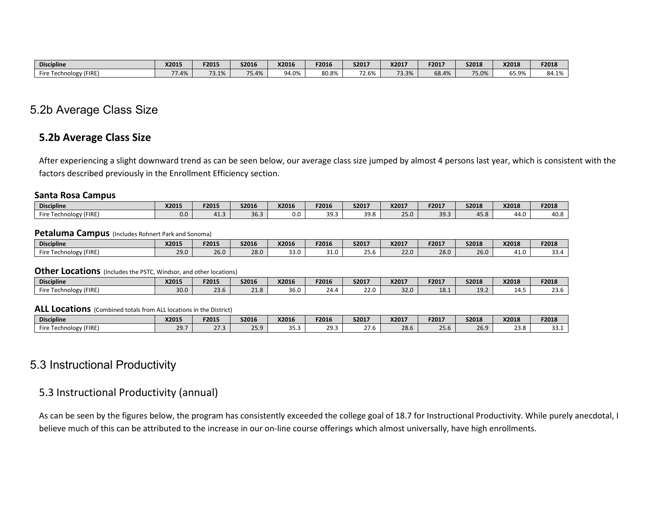| <b>Discipline</b>                   | X2015        | F2015 | <b>S2016</b>            | X2016       | F2016 | S2017 | X2017                            | F2017 | <b>S2018</b> | X2018                        | F2018 |
|-------------------------------------|--------------|-------|-------------------------|-------------|-------|-------|----------------------------------|-------|--------------|------------------------------|-------|
| (FIRE<br>Fire<br>ology (<br>. וכנו. | 10/<br>1.470 | 73.1% | $- -$<br>$-$<br>. o. 4% | 14.0%<br>17 | 80.8% | 72.6% | $\overline{\phantom{0}}$<br>3.3% | 68.4% | 75.0%        | <b>SE 0%</b><br><b>05.9%</b> | 84.1% |

### 5.2b Average Class Size

#### **5.2b Average Class Size**

After experiencing a slight downward trend as can be seen below, our average class size jumped by almost 4 persons last year, which is consistent with the factors described previously in the Enrollment Efficiency section.

#### **Santa Rosa Campus**

| <b>Discipline</b>            | X2015 | F2015 | S2016 | X2016 | F2016       | S2017        | X2017 | F2017 | <b>S2018</b>                     | X2018 | F2018 |
|------------------------------|-------|-------|-------|-------|-------------|--------------|-------|-------|----------------------------------|-------|-------|
| (FIRE)<br>Fire<br>Technology | 0.0   | 41.3  | 36.3  | 0.0   | 39:<br>JJ.J | 30 B<br>JJ.U | 25.0  | 39.3  | $\overline{\phantom{0}}$<br>45.6 | 44.u  | 40.O  |

#### **Petaluma Campus** (Includes Rohnert Park and Sonoma)

| <b>Discipline</b>      | X2015 | F2015 | S2016        | X2016                        | F2016                | S2017               | X2017 | F2017 | <b>S2018</b> | X2018 | F2018                       |
|------------------------|-------|-------|--------------|------------------------------|----------------------|---------------------|-------|-------|--------------|-------|-----------------------------|
| hnology (FIRE)<br>Fire | 29.0  | 26.0  | 20 U<br>20.U | $\sim$ $\sim$ $\sim$<br>0.دد | $\sim$ $\sim$<br>i N | $\sim$ $-$<br>- J.V | 22.0  | 28.0  | 26.0         | 1.0   | $\sim$ $\sim$<br>. д<br>JJ. |

#### **Other Locations** (Includes the PSTC, Windsor, and other locations)

| <b>Discipline</b>                      | X2015 | F2015      | S2016                      | X2016 | F2016 | <b>S2017</b> | X2017 | F2017 | S2018                | X2018                   | F2018          |
|----------------------------------------|-------|------------|----------------------------|-------|-------|--------------|-------|-------|----------------------|-------------------------|----------------|
| (FIRE)<br>Fire<br>nology<br><b>UUI</b> | 30.0  | 22<br>23.D | <b>O</b><br>$\sim$<br>21.0 | 36.0  | 24.4  | 22.0         | 32.0  | 18.1  | 10 <sup>1</sup><br>. | $\Lambda$ $\Box$<br>--⊶ | $\sim$<br>25.U |

#### **ALL Locations** (Combined totals from ALL locations in the District)

| <b>Discipline</b>                               | X2015       | F2015            | S2016                    | X2016      | F2016          | S201.                 | X2017 | F2017 | <b>S2018</b> | X2018       | F2018  |
|-------------------------------------------------|-------------|------------------|--------------------------|------------|----------------|-----------------------|-------|-------|--------------|-------------|--------|
| Fire<br>'FIRE)<br><b>Chnology</b> (Fig.<br>וששו | $\sim$<br>. | $\sim$<br>ر. ، ے | $\sim$ $\sim$ $\sim$<br> | --<br>د.رد | າດ<br><u>.</u> | $\sim$ $\sim$<br>41.U | 28.6  | 25.6  | 26.9         | റററ<br>25.0 | ⊥. د ب |

### 5.3 Instructional Productivity

### 5.3 Instructional Productivity (annual)

As can be seen by the figures below, the program has consistently exceeded the college goal of 18.7 for Instructional Productivity. While purely anecdotal, I believe much of this can be attributed to the increase in our on-line course offerings which almost universally, have high enrollments.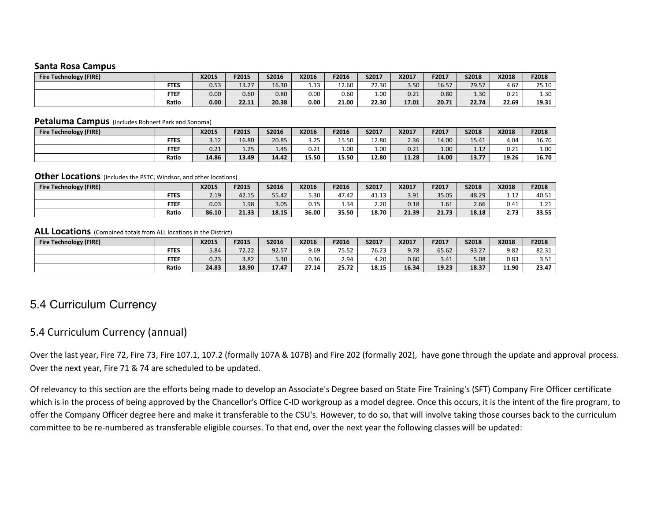#### **Santa Rosa Campus**

| <b>Fire Technology (FIRE)</b> |             | X2015 | F2015 | <b>S2016</b> | X2016      | F2016 | <b>S2017</b> | X2017 | F2017 | S2018 | X2018 | F2018 |
|-------------------------------|-------------|-------|-------|--------------|------------|-------|--------------|-------|-------|-------|-------|-------|
|                               | <b>FTES</b> | 0.53  | 13.27 | 16.30        | 12<br>⊥.⊥ఎ | 12.60 | 22.30        | 3.50  | 16.57 | 29.57 | 4.67  | 25.10 |
|                               | <b>FTEF</b> | 0.00  | 0.60  | 0.80         | 0.00       | 0.60  | $1.00\,$     | 0.21  | 0.80  | 1.30  | 0.21  | 1.30  |
|                               | Ratio       | 0.00  | 22.11 | 20.38        | 0.00       | 21.00 | 22.30        | 17.01 | 20.71 | 22.74 | 22.69 | 19.31 |

#### **Petaluma Campus** (Includes Rohnert Park and Sonoma)

| <b>Fire Technology (FIRE)</b> |             | X2015 | <b>F2015</b> | <b>S2016</b> | X2016 | F2016 | S2017 | X2017 | F2017             | S2018         | X2018 | F2018 |
|-------------------------------|-------------|-------|--------------|--------------|-------|-------|-------|-------|-------------------|---------------|-------|-------|
|                               | <b>FTES</b> | 3.12  | 16.80        | 20.85        | 3.25  | 15.50 | 12.80 | 2.36  | 14.00             | 15.41         | 4.04  | 16.70 |
|                               | <b>FTEF</b> | 0.21  | 1.25         | 1.45         | 0.21  | 1.00  | 1.00  | 0.21  | 1.00 <sub>1</sub> | 1 1 2<br>1.14 | 0.21  | 1.00  |
|                               | Ratio       | 14.86 | 13.49        | 14.42        | 15.50 | 15.50 | 12.80 | 11.28 | 14.00             | 13.77         | 19.26 | 16.70 |

#### **Other Locations** (Includes the PSTC, Windsor, and other locations)

| <b>Fire Technology (FIRE)</b> |             | X2015 | F2015 | S2016 | X2016 | F2016 | S2017          | X2017 | F2017 | S2018 | X2018       | F2018                |
|-------------------------------|-------------|-------|-------|-------|-------|-------|----------------|-------|-------|-------|-------------|----------------------|
|                               | <b>FTES</b> | 2.19  | 42.15 | 55.42 | 5.30  | 47.42 | 11.12<br>41.13 | 3.91  | 35.05 | 48.29 | 110<br>1.14 | 40.51                |
|                               | <b>FTEF</b> | 0.03  | 1.98  | 3.05  | 0.15  | 1.34  | 2.20           | 0.18  | 1.61  | 2.66  | 0.41        | 21<br>$\pm .2 \pm .$ |
|                               | Ratio       | 86.10 | 21.33 | 18.15 | 36.00 | 35.50 | 18.70          | 21.39 | 21.73 | 18.18 | 2.73        | 33.55                |

#### **ALL Locations** (Combined totals from ALL locations in the District)

| <b>Fire Technology (FIRE)</b> |             | X2015 | F2015 | S2016 | X2016 | F2016 | <b>S2017</b> | X2017 | F2017 | S2018 | X2018 | F2018          |
|-------------------------------|-------------|-------|-------|-------|-------|-------|--------------|-------|-------|-------|-------|----------------|
|                               | <b>FTES</b> | 5.84  | 72.22 | 92.57 | 9.69  | 75.52 | 76.23        | 9.78  | 65.62 | 93.27 | 9.82  | 82.31          |
|                               | <b>FTEF</b> | 0.23  | 3.82  | 5.30  | 0.36  | 2.94  | 4.20         | 0.60  | 3.41  | 5.08  | 0.83  | 2.51<br>⊥ ت. ت |
|                               | Ratio       | 24.83 | 18.90 | 17.47 | 27.14 | 25.72 | 18.15        | 16.34 | 19.23 | 18.37 | 11.90 | 23.47          |

### 5.4 Curriculum Currency

### 5.4 Curriculum Currency (annual)

Over the last year, Fire 72, Fire 73, Fire 107.1, 107.2 (formally 107A & 107B) and Fire 202 (formally 202), have gone through the update and approval process. Over the next year, Fire 71 & 74 are scheduled to be updated.

Of relevancy to this section are the efforts being made to develop an Associate's Degree based on State Fire Training's (SFT) Company Fire Officer certificate which is in the process of being approved by the Chancellor's Office C-ID workgroup as a model degree. Once this occurs, it is the intent of the fire program, to offer the Company Officer degree here and make it transferable to the CSU's. However, to do so, that will involve taking those courses back to the curriculum committee to be re-numbered as transferable eligible courses. To that end, over the next year the following classes will be updated: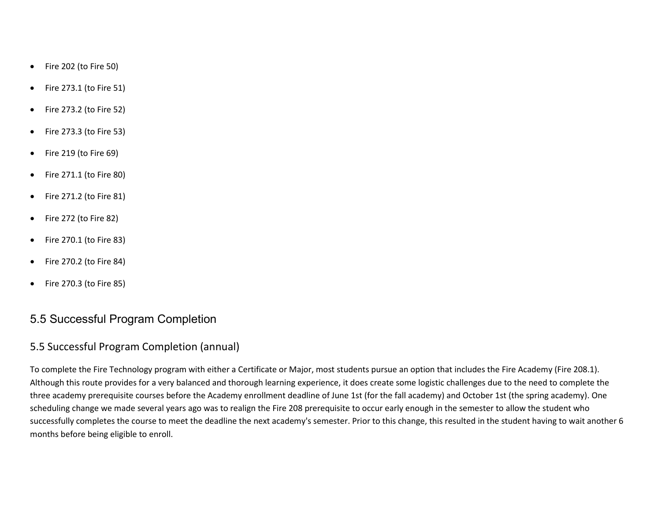- Fire 202 (to Fire 50)
- Fire 273.1 (to Fire 51)
- Fire 273.2 (to Fire 52)
- Fire 273.3 (to Fire 53)
- Fire 219 (to Fire 69)
- Fire 271.1 (to Fire 80)
- Fire 271.2 (to Fire 81)
- Fire 272 (to Fire 82)
- Fire 270.1 (to Fire 83)
- Fire 270.2 (to Fire 84)
- Fire 270.3 (to Fire 85)

### 5.5 Successful Program Completion

### 5.5 Successful Program Completion (annual)

To complete the Fire Technology program with either a Certificate or Major, most students pursue an option that includes the Fire Academy (Fire 208.1). Although this route provides for a very balanced and thorough learning experience, it does create some logistic challenges due to the need to complete the three academy prerequisite courses before the Academy enrollment deadline of June 1st (for the fall academy) and October 1st (the spring academy). One scheduling change we made several years ago was to realign the Fire 208 prerequisite to occur early enough in the semester to allow the student who successfully completes the course to meet the deadline the next academy's semester. Prior to this change, this resulted in the student having to wait another 6 months before being eligible to enroll.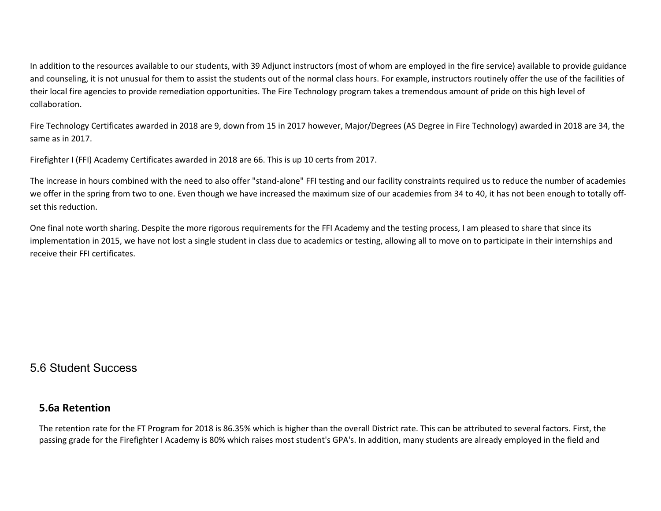In addition to the resources available to our students, with 39 Adjunct instructors (most of whom are employed in the fire service) available to provide guidance and counseling, it is not unusual for them to assist the students out of the normal class hours. For example, instructors routinely offer the use of the facilities of their local fire agencies to provide remediation opportunities. The Fire Technology program takes a tremendous amount of pride on this high level of collaboration.

Fire Technology Certificates awarded in 2018 are 9, down from 15 in 2017 however, Major/Degrees (AS Degree in Fire Technology) awarded in 2018 are 34, the same as in 2017.

Firefighter I (FFI) Academy Certificates awarded in 2018 are 66. This is up 10 certs from 2017.

The increase in hours combined with the need to also offer "stand-alone" FFI testing and our facility constraints required us to reduce the number of academies we offer in the spring from two to one. Even though we have increased the maximum size of our academies from 34 to 40, it has not been enough to totally offset this reduction.

One final note worth sharing. Despite the more rigorous requirements for the FFI Academy and the testing process, I am pleased to share that since its implementation in 2015, we have not lost a single student in class due to academics or testing, allowing all to move on to participate in their internships and receive their FFI certificates.

### 5.6 Student Success

### **5.6a Retention**

The retention rate for the FT Program for 2018 is 86.35% which is higher than the overall District rate. This can be attributed to several factors. First, the passing grade for the Firefighter I Academy is 80% which raises most student's GPA's. In addition, many students are already employed in the field and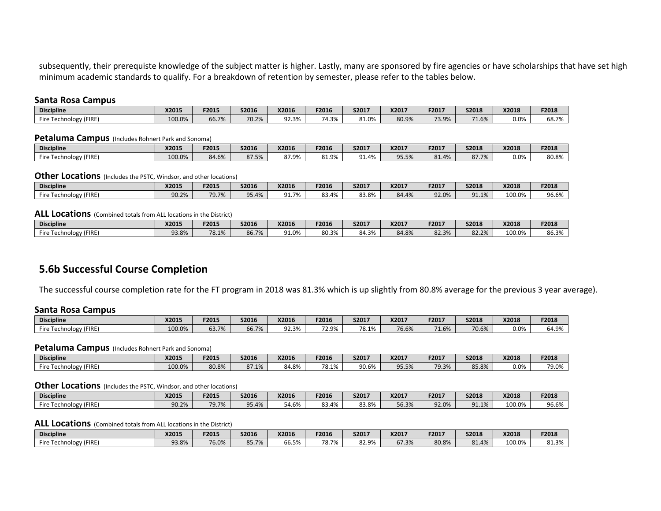subsequently, their prerequiste knowledge of the subject matter is higher. Lastly, many are sponsored by fire agencies or have scholarships that have set high minimum academic standards to qualify. For a breakdown of retention by semester, please refer to the tables below.

#### **Santa Rosa Campus**

| <b>Discipline</b>                                                 | X2015  | F2015 | S2016 | X2016               | F2016 | S2017 | X2017 | F2017 | <b>S2018</b>    | X2018   | F2018 |
|-------------------------------------------------------------------|--------|-------|-------|---------------------|-------|-------|-------|-------|-----------------|---------|-------|
| (FIRE<br>$\overline{\phantom{a}}$<br>ire<br>nology,<br>ົ້<br>וכטו | 100.0% | 66.7% | 70.2% | ົດລ<br>---<br>92.3% | 74.3% | 31.0% | 80.9% | 73.9% | CO<br>$\pm 0\%$ | $0.0\%$ | 68.7% |

#### **Petaluma Campus** (Includes Rohnert Park and Sonoma)

| <b>Discipline</b>                                                  | X2015  | F201! | S2016          | <b>X2016</b>                                  | F2016 | S2017             | X2017 | F2017                       | <b>S2018</b> | X2018 | F2018 |
|--------------------------------------------------------------------|--------|-------|----------------|-----------------------------------------------|-------|-------------------|-------|-----------------------------|--------------|-------|-------|
| (FIRE<br>Fire<br>.00 <sub>k</sub><br>`nology <sub>\</sub><br>ו כטו | 100.0% | 84.6% | 07.50<br>87.37 | $\sim$<br>QQ<br>$\Omega L \rightarrow \infty$ | 81.9% | <b>91.4%</b><br>ິ | 95.5% | O <sub>1</sub><br>4%<br>ŌΙ. | 87.7%        | 0.0%  | 80.8% |

#### **Other Locations** (Includes the PSTC. Windsor, and other locations)

| <b>Discipline</b>                                         | X2015                 | F2015 | S2016         | X2016             | F2016 | S2017 | X2017 | F2017 | <b>S2018</b>         | X2018  | F2018 |
|-----------------------------------------------------------|-----------------------|-------|---------------|-------------------|-------|-------|-------|-------|----------------------|--------|-------|
| Fire<br>FIRE<br><sup>-h</sup> nology <sub>U</sub><br>וענו | 90.2%<br><b>JU.L/</b> | 79.7% | 10/<br>,,,,,, | 70/<br>$^{\circ}$ | 83.4% | 83.8% | 84.4% | 92.0% | 91.1%<br>$^{\Omega}$ | 100.0% | 96.6% |

#### **ALL Locations** (Combined totals from ALL locations in the District)

| <b>Discipline</b>            | X2015 | F2015 | S2016          | X2016                                 | F2016 | S2017 | X2017 | F2017 | <b>S2018</b>    | X2018  | F2018 |
|------------------------------|-------|-------|----------------|---------------------------------------|-------|-------|-------|-------|-----------------|--------|-------|
| (FIRE)<br>Fire<br>Technology | 93.8% | 78.1% | 86 7%<br>80.7% | $^{\circ}$<br>0 <sup>0</sup><br>91.U% | 80.3% | 84.3% | 84.8% | 82.3% | 82.2%<br>02.Z70 | 100.0% | 86.3% |

### **5.6b Successful Course Completion**

The successful course completion rate for the FT program in 2018 was 81.3% which is up slightly from 80.8% average for the previous 3 year average).

#### **Santa Rosa Campus**

| <b>Discipline</b>               | X2015  | F2015         | S2016 | X2016                   | F2016 | S2017 | X2017 | F2017      | <b>S2018</b> | X2018 | F2018 |
|---------------------------------|--------|---------------|-------|-------------------------|-------|-------|-------|------------|--------------|-------|-------|
| (FIRE)<br>Fire<br>Technology (F | 100.0% | 527%<br>63.7% | 66.7% | 02.20<br>ີ້<br>J 4.J 70 | 72.9% | 78.1% | 76.6% | 74<br>1.6% | 70.6%        | 0.0%  | 2100/ |

#### **Petaluma Campus** (Includes Rohnert Park and Sonoma)

| <b>Discipline</b>                                      | <b>X2015</b> | F2015 | S2016           | X2016                    | F2016            | S2017 | X2017                  | F201 <sup>-</sup> | <b>S2018</b> | X2018 | F2018 |
|--------------------------------------------------------|--------------|-------|-----------------|--------------------------|------------------|-------|------------------------|-------------------|--------------|-------|-------|
| $1 - 1 - 1$<br>$- \cdot$<br>: Technology (FIRE<br>Fire | 100.0%       | 80.8% | Q7 10/<br>01.17 | 20 <sup>2</sup><br>84.8% | 78.1%<br>0.170 ' | 90.6% | QE EQ<br><b>JJ.J70</b> | 70 3%<br>9.3%     | 85.8%        | 0.0%  | 79.0% |

#### **Other Locations** (Includes the PSTC, Windsor, and other locations)

| <b>Discipline</b>                                       | X2015 | F2015 | S2016 | X2016 | F2016     | <b>S2017</b> | X2017 | F2017 | <b>S2018</b>  | X2018  | F2018 |
|---------------------------------------------------------|-------|-------|-------|-------|-----------|--------------|-------|-------|---------------|--------|-------|
| (FIRE)<br>Fire <sup>1</sup><br>. rechnolog <sup>,</sup> | 90.2% | 79.7% | 95.4% | 54.6% | .4%<br>دە | 83.8%        | 56.3% | 92.0% | 10/2<br>91.1% | 100.0% | 96.6% |

#### ALL Locations (Combined totals from ALL locations in the District)

| <b>Discipline</b>         | X2015 | F2015 | S2016              | X2016            | F2016 | <b>S2017</b> | X2017 | F2017 | <b>S2018</b> | X2018  | F2018 |
|---------------------------|-------|-------|--------------------|------------------|-------|--------------|-------|-------|--------------|--------|-------|
| (FIRE)<br>Fire Technology | 93.8% | 76.0% | $OT$ 70/<br>83.770 | $CC$ FM<br>66.5% | 78.7% | 82.9%        | 67.3% | 80.8% | .4%<br>81.   | 100.0% | 81.3% |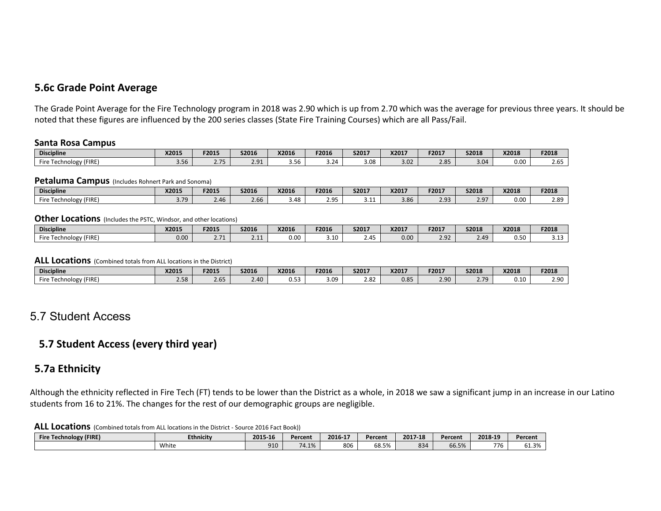### **5.6c Grade Point Average**

The Grade Point Average for the Fire Technology program in 2018 was 2.90 which is up from 2.70 which was the average for previous three years. It should be noted that these figures are influenced by the 200 series classes (State Fire Training Courses) which are all Pass/Fail.

#### **Santa Rosa Campus**

| <b>Discipline</b>        | X2015                           | F2015                   | S2016    | X2016          | F2016                                        | <b>S2017</b> | X2017 | F2017 | S2018 | X2018 | F2018       |
|--------------------------|---------------------------------|-------------------------|----------|----------------|----------------------------------------------|--------------|-------|-------|-------|-------|-------------|
| (FIRE)<br>Fire<br>hnolog | $\sim$ $\sim$ $\sim$<br>∵ 50. د | $-$<br>$\sim\cdot\cdot$ | 291<br>. | $\sim$<br>3.30 | $^{\circ}$ 24 $^{\circ}$<br>3.2 <sup>0</sup> | 3.08         | 3.02  | 2.85  | 3.04  | 0.00  | $-$<br>2.05 |

#### **Petaluma Campus** (Includes Rohnert Park and Sonoma)

| <b>Discipline</b>                                 | <b>X2015</b>       | F201!          | S2016          | X2016                                     | F2016    | S2017         | X2017          | <b>F2017</b>              | S2018         | X2018 | F2018 |
|---------------------------------------------------|--------------------|----------------|----------------|-------------------------------------------|----------|---------------|----------------|---------------------------|---------------|-------|-------|
| Fire<br>$'$ FIRE)<br>nnology <sub>1</sub><br>ושטו | $\sim$ 70<br>J . 1 | $\sim$<br>2.4b | $\sim$<br>2.bb | $\Lambda$ $\Omega$<br>$\overline{a}$<br>− | חם נ<br> | . .<br>. ۲۰ پ | $\sim$<br>טט.כ | $\sim$ $\sim$<br><u>.</u> | הם ר<br>ر . ے | 0.00  | 2.89  |

#### **Other Locations** (Includes the PSTC, Windsor, and other locations)

| <b>Discipline</b>              | X2015 | F2015                   | S2016     | X2016 | F2016 | <b>S2017</b>     | X2017 | F2017 | <b>S2018</b> | X2018 | F2018 |
|--------------------------------|-------|-------------------------|-----------|-------|-------|------------------|-------|-------|--------------|-------|-------|
| (FIRE)<br><b>Fire</b><br>nolog | 0.00  | $\sim$ $\sim$<br>$\sim$ | 2.44<br>. | 0.00  | 3.10  | 2.4 <sup>°</sup> | 0.00  | 2.92  | 2.49         | 0.50  | ----  |

#### **ALL Locations** (Combined totals from ALL locations in the District)

| <b>Discipline</b>                              | X2015        | F2015                      | S2016 | X2016 | F2016       | S2017      | X2017 | F2017          | <b>S2018</b>             | X2018 | F2018 |
|------------------------------------------------|--------------|----------------------------|-------|-------|-------------|------------|-------|----------------|--------------------------|-------|-------|
| $- \cdot$<br>$\sim$ 1 echnology (FIPT)<br>Fire | 200<br>− ہ⊂… | $\sim$<br>2.6 <sup>5</sup> | 2.40  | U.J.  | : na<br>ں،ب | o.<br>2.02 | 0.85  | $2.90^{\circ}$ | 770<br>$\sim$ . $\prime$ | 0.10  | 2.90  |

### 5.7 Student Access

### **5.7 Student Access (every third year)**

### **5.7a Ethnicity**

Although the ethnicity reflected in Fire Tech (FT) tends to be lower than the District as a whole, in 2018 we saw a significant jump in an increase in our Latino students from 16 to 21%. The changes for the rest of our demographic groups are negligible.

**ALL Locations** (Combined totals from ALL locations in the District - Source 2016 Fact Book))

| <b>Technology (FIRE)</b><br><b>Fire</b> | <b>Ethnicity</b> | 2015-16 | Percent | 2016-17 | Percent                  | 2017-18 | Percent | 2018-19 | Percent               |
|-----------------------------------------|------------------|---------|---------|---------|--------------------------|---------|---------|---------|-----------------------|
|                                         | White            | 910     | 74.1%   | 806     | $-\sim$<br>ິດ.<br>י כ.סט | 834     | 66.5%   | 776     | 20/2<br><b>01.J/0</b> |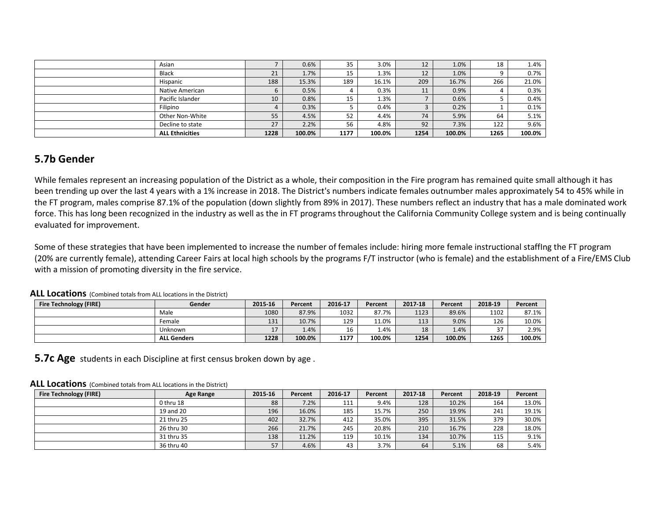| Asian                  |      | 0.6%   | 35   | 3.0%   | 12   | 1.0%   | 18   | 1.4%   |
|------------------------|------|--------|------|--------|------|--------|------|--------|
| <b>Black</b>           | 21   | 1.7%   | 15   | 1.3%   | 12   | 1.0%   | a    | 0.7%   |
| Hispanic               | 188  | 15.3%  | 189  | 16.1%  | 209  | 16.7%  | 266  | 21.0%  |
| Native American        |      | 0.5%   | 4    | 0.3%   | 11   | 0.9%   | 4    | 0.3%   |
| Pacific Islander       | 10   | 0.8%   | 15   | 1.3%   |      | 0.6%   |      | 0.4%   |
| <b>Filipino</b>        |      | 0.3%   |      | 0.4%   |      | 0.2%   |      | 0.1%   |
| Other Non-White        | 55   | 4.5%   | 52   | 4.4%   | 74   | 5.9%   | 64   | 5.1%   |
| Decline to state       | 27   | 2.2%   | 56   | 4.8%   | 92   | 7.3%   | 122  | 9.6%   |
| <b>ALL Ethnicities</b> | 1228 | 100.0% | 1177 | 100.0% | 1254 | 100.0% | 1265 | 100.0% |

### **5.7b Gender**

While females represent an increasing population of the District as a whole, their composition in the Fire program has remained quite small although it has been trending up over the last 4 years with a 1% increase in 2018. The District's numbers indicate females outnumber males approximately 54 to 45% while in the FT program, males comprise 87.1% of the population (down slightly from 89% in 2017). These numbers reflect an industry that has a male dominated work force. This has long been recognized in the industry as well as the in FT programs throughout the California Community College system and is being continually evaluated for improvement.

Some of these strategies that have been implemented to increase the number of females include: hiring more female instructional staffIng the FT program (20% are currently female), attending Career Fairs at local high schools by the programs F/T instructor (who is female) and the establishment of a Fire/EMS Club with a mission of promoting diversity in the fire service.

| _ _ _ _ _<br>.                | .<br>.             |         |         |         |             |         |         |         |         |
|-------------------------------|--------------------|---------|---------|---------|-------------|---------|---------|---------|---------|
| <b>Fire Technology (FIRE)</b> | Gender             | 2015-16 | Percent | 2016-17 | Percent     | 2017-18 | Percent | 2018-19 | Percent |
|                               | Male               | 1080    | 87.9%   | 1032    | 87.7%       | 1123    | 89.6%   | 1102    | 87.1%   |
|                               | Female             | 131     | 10.7%   | 129     | 11.0%       | 113     | 9.0%    | 126     | 10.0%   |
|                               | Unknown            |         | 1.4%    | 16      | <b>1.4%</b> | 18      | 1.4%    | 37      | 2.9%    |
|                               | <b>ALL Genders</b> | 1228    | 100.0%  | 1177    | 100.0%      | 1254    | 100.0%  | 1265    | 100.0%  |

#### **ALL Locations** (Combined totals from ALL locations in the District)

**5.7c Age** students in each Discipline at first census broken down by age.

#### **ALL Locations** (Combined totals from ALL locations in the District)

| <b>Fire Technology (FIRE)</b> | Age Range  | 2015-16 | Percent | 2016-17 | Percent | 2017-18 | Percent | 2018-19 | Percent |
|-------------------------------|------------|---------|---------|---------|---------|---------|---------|---------|---------|
|                               | 0 thru 18  | 88      | 7.2%    | 111     | 9.4%    | 128     | 10.2%   | 164     | 13.0%   |
|                               | 19 and 20  | 196     | 16.0%   | 185     | 15.7%   | 250     | 19.9%   | 241     | 19.1%   |
|                               | 21 thru 25 | 402     | 32.7%   | 412     | 35.0%   | 395     | 31.5%   | 379     | 30.0%   |
|                               | 26 thru 30 | 266     | 21.7%   | 245     | 20.8%   | 210     | 16.7%   | 228     | 18.0%   |
|                               | 31 thru 35 | 138     | 11.2%   | 119     | 10.1%   | 134     | 10.7%   | 115     | 9.1%    |
|                               | 36 thru 40 | 57      | 4.6%    | 43      | 3.7%    | 64      | 5.1%    | 68      | 5.4%    |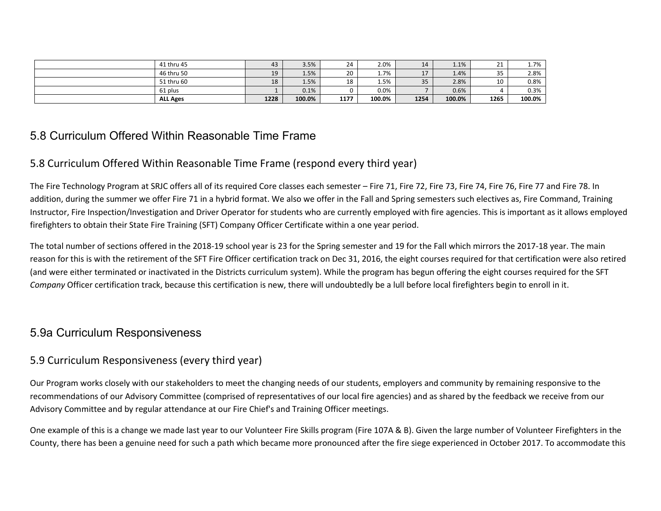| 41 thru 45      | 43   | 3.5%   | 24   | 2.0%   | 14     | 1.1%   | <b>01</b><br>ᇰ | <b>1.7%</b> |
|-----------------|------|--------|------|--------|--------|--------|----------------|-------------|
| 46 thru 50      | 19   | 1.5%   | 20   | 1.7%   | $\sim$ | 1.4%   | 35             | 2.8%        |
| 51 thru 60      | 18   | 1.5%   | 18   | 1.5%   | 35     | 2.8%   | 10             | 0.8%        |
| 61 plus         |      | 0.1%   |      | 0.0%   |        | 0.6%   |                | 0.3%        |
| <b>ALL Ages</b> | 1228 | 100.0% | 1177 | 100.0% | 1254   | 100.0% | 1265           | 100.0%      |

### 5.8 Curriculum Offered Within Reasonable Time Frame

### 5.8 Curriculum Offered Within Reasonable Time Frame (respond every third year)

The Fire Technology Program at SRJC offers all of its required Core classes each semester – Fire 71, Fire 72, Fire 73, Fire 74, Fire 76, Fire 77 and Fire 78. In addition, during the summer we offer Fire 71 in a hybrid format. We also we offer in the Fall and Spring semesters such electives as, Fire Command, Training Instructor, Fire Inspection/Investigation and Driver Operator for students who are currently employed with fire agencies. This is important as it allows employed firefighters to obtain their State Fire Training (SFT) Company Officer Certificate within a one year period.

The total number of sections offered in the 2018-19 school year is 23 for the Spring semester and 19 for the Fall which mirrors the 2017-18 year. The main reason for this is with the retirement of the SFT Fire Officer certification track on Dec 31, 2016, the eight courses required for that certification were also retired (and were either terminated or inactivated in the Districts curriculum system). While the program has begun offering the eight courses required for the SFT *Company* Officer certification track, because this certification is new, there will undoubtedly be a lull before local firefighters begin to enroll in it.

### 5.9a Curriculum Responsiveness

### 5.9 Curriculum Responsiveness (every third year)

Our Program works closely with our stakeholders to meet the changing needs of our students, employers and community by remaining responsive to the recommendations of our Advisory Committee (comprised of representatives of our local fire agencies) and as shared by the feedback we receive from our Advisory Committee and by regular attendance at our Fire Chief's and Training Officer meetings.

One example of this is a change we made last year to our Volunteer Fire Skills program (Fire 107A & B). Given the large number of Volunteer Firefighters in the County, there has been a genuine need for such a path which became more pronounced after the fire siege experienced in October 2017. To accommodate this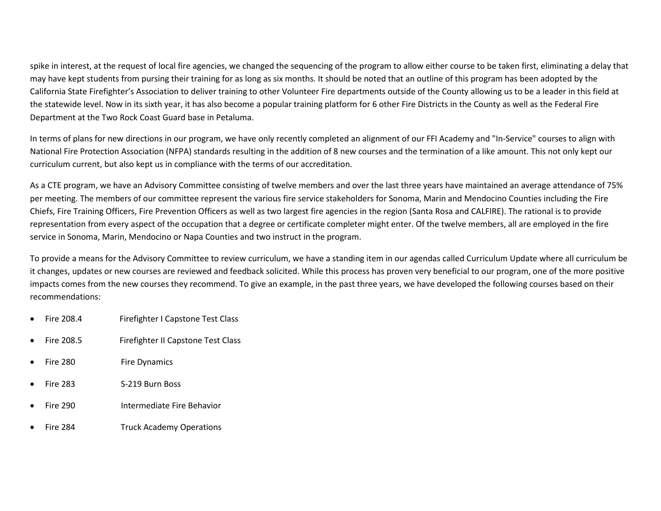spike in interest, at the request of local fire agencies, we changed the sequencing of the program to allow either course to be taken first, eliminating a delay that may have kept students from pursing their training for as long as six months. It should be noted that an outline of this program has been adopted by the California State Firefighter's Association to deliver training to other Volunteer Fire departments outside of the County allowing us to be a leader in this field at the statewide level. Now in its sixth year, it has also become a popular training platform for 6 other Fire Districts in the County as well as the Federal Fire Department at the Two Rock Coast Guard base in Petaluma.

In terms of plans for new directions in our program, we have only recently completed an alignment of our FFI Academy and "In-Service" courses to align with National Fire Protection Association (NFPA) standards resulting in the addition of 8 new courses and the termination of a like amount. This not only kept our curriculum current, but also kept us in compliance with the terms of our accreditation.

As a CTE program, we have an Advisory Committee consisting of twelve members and over the last three years have maintained an average attendance of 75% per meeting. The members of our committee represent the various fire service stakeholders for Sonoma, Marin and Mendocino Counties including the Fire Chiefs, Fire Training Officers, Fire Prevention Officers as well as two largest fire agencies in the region (Santa Rosa and CALFIRE). The rational is to provide representation from every aspect of the occupation that a degree or certificate completer might enter. Of the twelve members, all are employed in the fire service in Sonoma, Marin, Mendocino or Napa Counties and two instruct in the program.

To provide a means for the Advisory Committee to review curriculum, we have a standing item in our agendas called Curriculum Update where all curriculum be it changes, updates or new courses are reviewed and feedback solicited. While this process has proven very beneficial to our program, one of the more positive impacts comes from the new courses they recommend. To give an example, in the past three years, we have developed the following courses based on their recommendations:

- Fire 208.4 Firefighter I Capstone Test Class
- Fire 208.5 Firefighter II Capstone Test Class
- Fire 280 Fire Dynamics
- Fire 283 S-219 Burn Boss
- Fire 290 Intermediate Fire Behavior
- Fire 284 Truck Academy Operations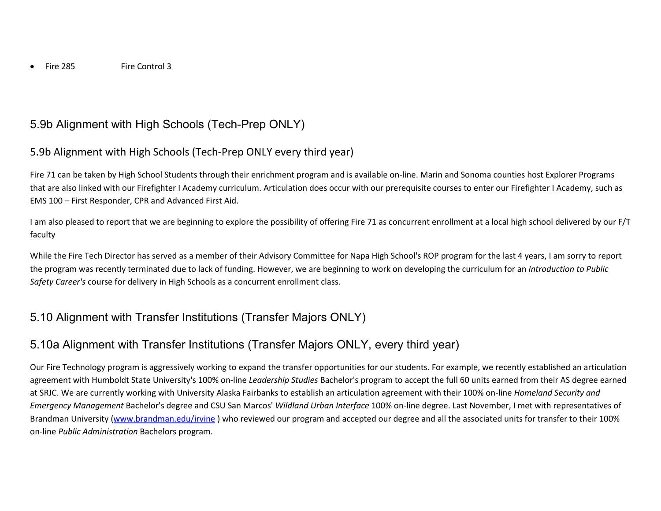## 5.9b Alignment with High Schools (Tech-Prep ONLY)

### 5.9b Alignment with High Schools (Tech-Prep ONLY every third year)

Fire 71 can be taken by High School Students through their enrichment program and is available on-line. Marin and Sonoma counties host Explorer Programs that are also linked with our Firefighter I Academy curriculum. Articulation does occur with our prerequisite courses to enter our Firefighter I Academy, such as EMS 100 – First Responder, CPR and Advanced First Aid.

I am also pleased to report that we are beginning to explore the possibility of offering Fire 71 as concurrent enrollment at a local high school delivered by our F/T faculty

While the Fire Tech Director has served as a member of their Advisory Committee for Napa High School's ROP program for the last 4 years, I am sorry to report the program was recently terminated due to lack of funding. However, we are beginning to work on developing the curriculum for an *Introduction to Public Safety Career's* course for delivery in High Schools as a concurrent enrollment class.

## 5.10 Alignment with Transfer Institutions (Transfer Majors ONLY)

## 5.10a Alignment with Transfer Institutions (Transfer Majors ONLY, every third year)

Our Fire Technology program is aggressively working to expand the transfer opportunities for our students. For example, we recently established an articulation agreement with Humboldt State University's 100% on-line *Leadership Studies* Bachelor's program to accept the full 60 units earned from their AS degree earned at SRJC. We are currently working with University Alaska Fairbanks to establish an articulation agreement with their 100% on-line *Homeland Security and Emergency Management* Bachelor's degree and CSU San Marcos' *Wildland Urban Interface* 100% on-line degree. Last November, I met with representatives of Brandman University [\(www.brandman.edu/irvine](http://www.brandman.edu/irvine) ) who reviewed our program and accepted our degree and all the associated units for transfer to their 100% on-line *Public Administration* Bachelors program.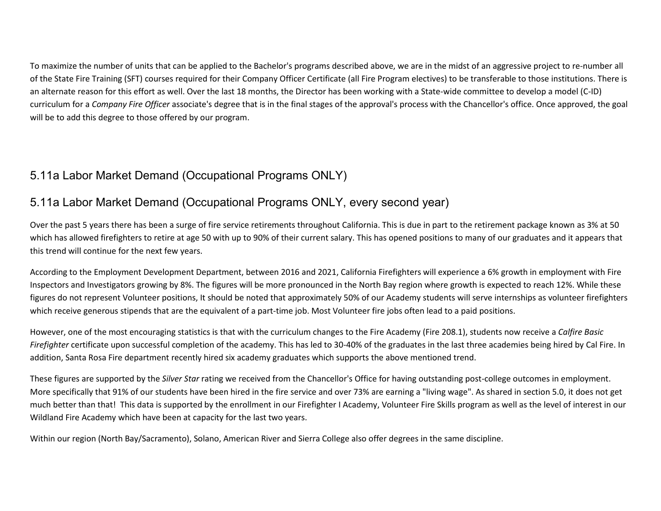To maximize the number of units that can be applied to the Bachelor's programs described above, we are in the midst of an aggressive project to re-number all of the State Fire Training (SFT) courses required for their Company Officer Certificate (all Fire Program electives) to be transferable to those institutions. There is an alternate reason for this effort as well. Over the last 18 months, the Director has been working with a State-wide committee to develop a model (C-ID) curriculum for a *Company Fire Officer* associate's degree that is in the final stages of the approval's process with the Chancellor's office. Once approved, the goal will be to add this degree to those offered by our program.

## 5.11a Labor Market Demand (Occupational Programs ONLY)

## 5.11a Labor Market Demand (Occupational Programs ONLY, every second year)

Over the past 5 years there has been a surge of fire service retirements throughout California. This is due in part to the retirement package known as 3% at 50 which has allowed firefighters to retire at age 50 with up to 90% of their current salary. This has opened positions to many of our graduates and it appears that this trend will continue for the next few years.

According to the Employment Development Department, between 2016 and 2021, California Firefighters will experience a 6% growth in employment with Fire Inspectors and Investigators growing by 8%. The figures will be more pronounced in the North Bay region where growth is expected to reach 12%. While these figures do not represent Volunteer positions, It should be noted that approximately 50% of our Academy students will serve internships as volunteer firefighters which receive generous stipends that are the equivalent of a part-time job. Most Volunteer fire jobs often lead to a paid positions.

However, one of the most encouraging statistics is that with the curriculum changes to the Fire Academy (Fire 208.1), students now receive a *Calfire Basic Firefighter* certificate upon successful completion of the academy. This has led to 30-40% of the graduates in the last three academies being hired by Cal Fire. In addition, Santa Rosa Fire department recently hired six academy graduates which supports the above mentioned trend.

These figures are supported by the *Silver Star* rating we received from the Chancellor's Office for having outstanding post-college outcomes in employment. More specifically that 91% of our students have been hired in the fire service and over 73% are earning a "living wage". As shared in section 5.0, it does not get much better than that! This data is supported by the enrollment in our Firefighter I Academy, Volunteer Fire Skills program as well as the level of interest in our Wildland Fire Academy which have been at capacity for the last two years.

Within our region (North Bay/Sacramento), Solano, American River and Sierra College also offer degrees in the same discipline.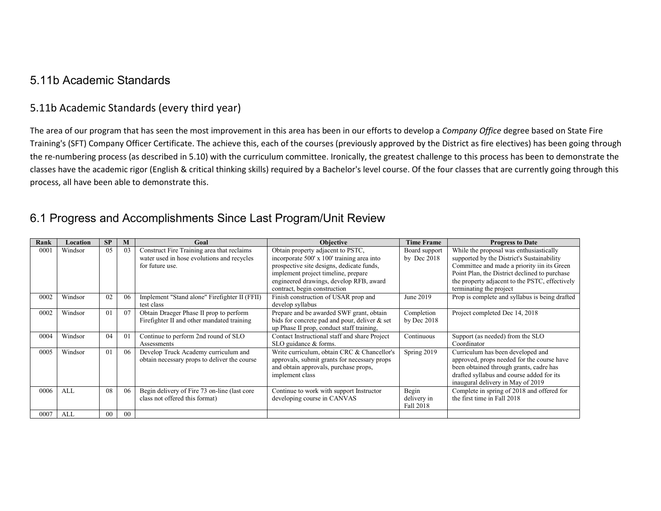### 5.11b Academic Standards

### 5.11b Academic Standards (every third year)

The area of our program that has seen the most improvement in this area has been in our efforts to develop a *Company Office* degree based on State Fire Training's (SFT) Company Officer Certificate. The achieve this, each of the courses (previously approved by the District as fire electives) has been going through the re-numbering process (as described in 5.10) with the curriculum committee. Ironically, the greatest challenge to this process has been to demonstrate the classes have the academic rigor (English & critical thinking skills) required by a Bachelor's level course. Of the four classes that are currently going through this process, all have been able to demonstrate this.

## 6.1 Progress and Accomplishments Since Last Program/Unit Review

| Rank | Location | <b>SP</b>      | M              | Goal                                                                                                        | <b>Objective</b>                                                                                                                                                                                                                               | <b>Time Frame</b>                 | <b>Progress to Date</b>                                                                                                                                                                                                                                            |
|------|----------|----------------|----------------|-------------------------------------------------------------------------------------------------------------|------------------------------------------------------------------------------------------------------------------------------------------------------------------------------------------------------------------------------------------------|-----------------------------------|--------------------------------------------------------------------------------------------------------------------------------------------------------------------------------------------------------------------------------------------------------------------|
| 0001 | Windsor  | 05             | 03             | Construct Fire Training area that reclaims<br>water used in hose evolutions and recycles<br>for future use. | Obtain property adjacent to PSTC,<br>incorporate 500' x 100' training area into<br>prospective site designs, dedicate funds,<br>implement project timeline, prepare<br>engineered drawings, develop RFB, award<br>contract, begin construction | Board support<br>by Dec $2018$    | While the proposal was enthusiastically<br>supported by the District's Sustainability<br>Committee and made a priority iin its Green<br>Point Plan, the District declined to purchase<br>the property adjacent to the PSTC, effectively<br>terminating the project |
| 0002 | Windsor  | 02             | 06             | Implement "Stand alone" Firefighter II (FFII)<br>test class                                                 | Finish construction of USAR prop and<br>develop syllabus                                                                                                                                                                                       | June 2019                         | Prop is complete and syllabus is being drafted                                                                                                                                                                                                                     |
| 0002 | Windsor  | 0 <sub>1</sub> | 07             | Obtain Draeger Phase II prop to perform<br>Firefighter II and other mandated training                       | Prepare and be awarded SWF grant, obtain<br>bids for concrete pad and pour, deliver $\&$ set<br>up Phase II prop, conduct staff training,                                                                                                      | Completion<br>by Dec $2018$       | Project completed Dec 14, 2018                                                                                                                                                                                                                                     |
| 0004 | Windsor  | 04             | 0 <sub>1</sub> | Continue to perform 2nd round of SLO<br>Assessments                                                         | Contact Instructional staff and share Project<br>SLO guidance & forms.                                                                                                                                                                         | Continuous                        | Support (as needed) from the SLO<br>Coordinator                                                                                                                                                                                                                    |
| 0005 | Windsor  | 01             | 06             | Develop Truck Academy curriculum and<br>obtain necessary props to deliver the course                        | Write curriculum, obtain CRC & Chancellor's<br>approvals, submit grants for necessary props<br>and obtain approvals, purchase props,<br>implement class                                                                                        | Spring 2019                       | Curriculum has been developed and<br>approved, props needed for the course have<br>been obtained through grants, cadre has<br>drafted syllabus and course added for its<br>inaugural delivery in May of 2019                                                       |
| 0006 | ALL      | 08             | 06             | Begin delivery of Fire 73 on-line (last core<br>class not offered this format)                              | Continue to work with support Instructor<br>developing course in CANVAS                                                                                                                                                                        | Begin<br>delivery in<br>Fall 2018 | Complete in spring of 2018 and offered for<br>the first time in Fall 2018                                                                                                                                                                                          |
| 0007 | ALL      | $00\,$         | 00             |                                                                                                             |                                                                                                                                                                                                                                                |                                   |                                                                                                                                                                                                                                                                    |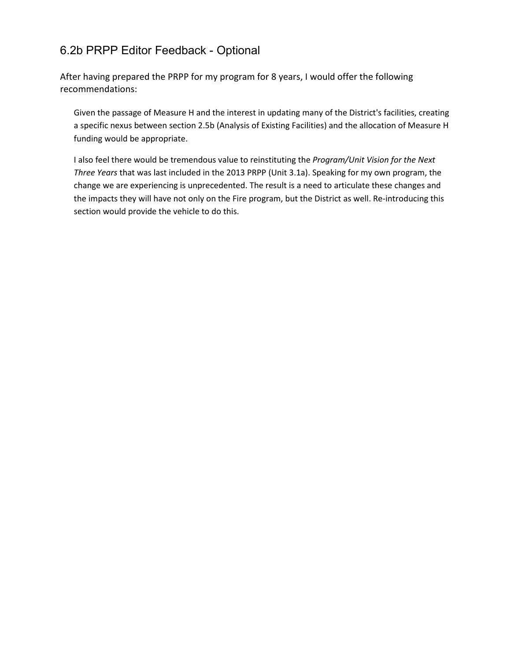## 6.2b PRPP Editor Feedback - Optional

After having prepared the PRPP for my program for 8 years, I would offer the following recommendations:

Given the passage of Measure H and the interest in updating many of the District's facilities, creating a specific nexus between section 2.5b (Analysis of Existing Facilities) and the allocation of Measure H funding would be appropriate.

I also feel there would be tremendous value to reinstituting the *Program/Unit Vision for the Next Three Years* that was last included in the 2013 PRPP (Unit 3.1a). Speaking for my own program, the change we are experiencing is unprecedented. The result is a need to articulate these changes and the impacts they will have not only on the Fire program, but the District as well. Re-introducing this section would provide the vehicle to do this.